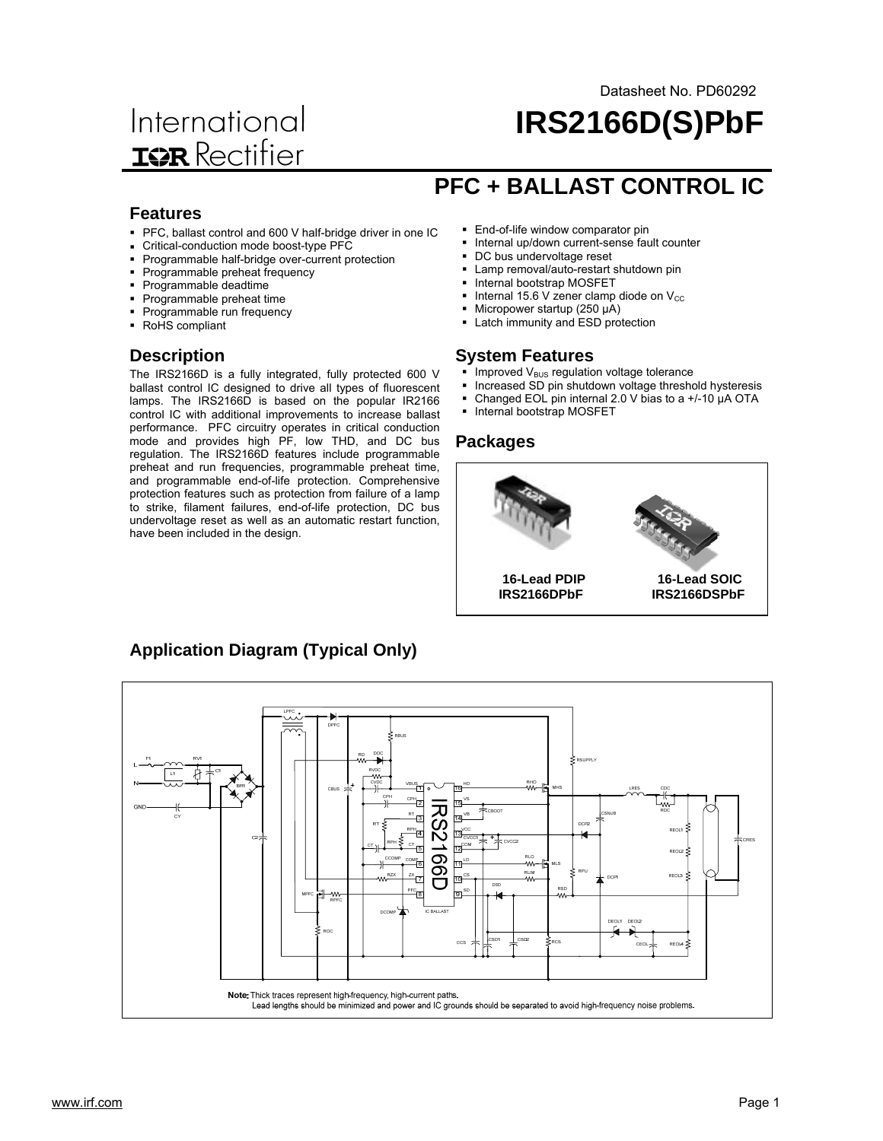# International **ISR** Rectifier

## **IRS2166D(S)PbF** Datasheet No. PD60292

#### **Features**

- PFC, ballast control and 600 V half-bridge driver in one IC
- Critical-conduction mode boost-type PFC
- Programmable half-bridge over-current protection
- Programmable preheat frequency
- Programmable deadtime
- **Programmable preheat time**
- **Programmable run frequency**
- RoHS compliant

#### **Description**

The IRS2166D is a fully integrated, fully protected 600 V ballast control IC designed to drive all types of fluorescent lamps. The IRS2166D is based on the popular IR2166 control IC with additional improvements to increase ballast performance. PFC circuitry operates in critical conduction mode and provides high PF, low THD, and DC bus regulation. The IRS2166D features include programmable preheat and run frequencies, programmable preheat time, and programmable end-of-life protection. Comprehensive protection features such as protection from failure of a lamp to strike, filament failures, end-of-life protection, DC bus undervoltage reset as well as an automatic restart function, have been included in the design.

**Application Diagram (Typical Only)**

# **PFC + BALLAST CONTROL IC**

- **End-of-life window comparator pin**
- **Internal up/down current-sense fault counter**
- DC bus undervoltage reset
- **-** Lamp removal/auto-restart shutdown pin
- **Internal bootstrap MOSFET**
- Internal 15.6 V zener clamp diode on  $V_{\text{CC}}$
- Micropower startup (250 µA)
- Latch immunity and ESD protection

#### **System Features**

- Improved  $V_{BUS}$  regulation voltage tolerance
- Increased SD pin shutdown voltage threshold hysteresis
- Changed EOL pin internal 2.0 V bias to a +/-10 µA OTA
- Internal bootstrap MOSFET

#### **Packages**



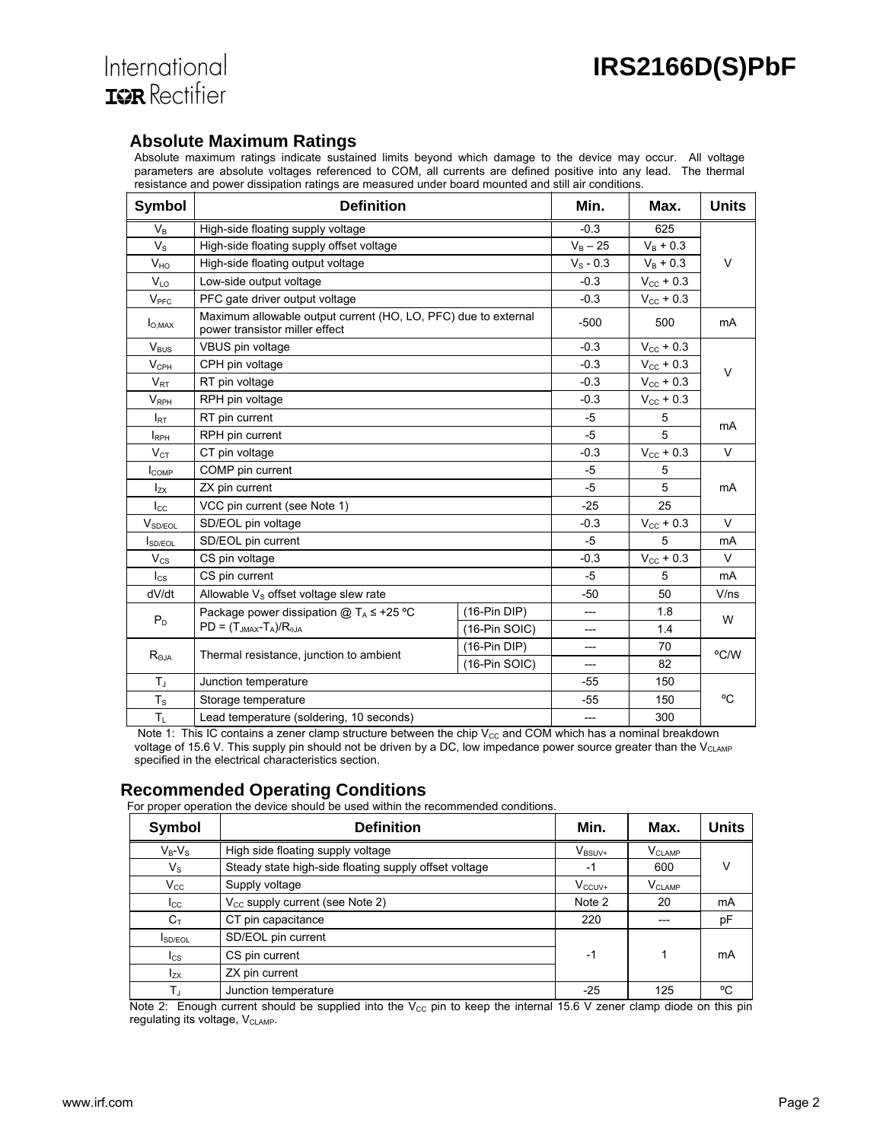

#### **Absolute Maximum Ratings**

Absolute maximum ratings indicate sustained limits beyond which damage to the device may occur. All voltage parameters are absolute voltages referenced to COM, all currents are defined positive into any lead. The thermal resistance and power dissipation ratings are measured under board mounted and still air conditions.

| Symbol                  | <b>Definition</b>                                                                                | Min.            | Max.                  | <b>Units</b>          |           |  |
|-------------------------|--------------------------------------------------------------------------------------------------|-----------------|-----------------------|-----------------------|-----------|--|
| $V_{B}$                 | High-side floating supply voltage                                                                |                 | $-0.3$                | 625                   |           |  |
| $V_{\rm S}$             | High-side floating supply offset voltage                                                         |                 | $V_B - 25$            | $V_B + 0.3$           |           |  |
| V <sub>HO</sub>         | High-side floating output voltage                                                                |                 | $V_{\rm s}$ - 0.3     | $V_B + 0.3$           | $\vee$    |  |
| $V_{10}$                | Low-side output voltage                                                                          |                 | $-0.3$                | $V_{\text{CC}} + 0.3$ |           |  |
| V <sub>PFC</sub>        | PFC gate driver output voltage                                                                   |                 | $-0.3$                | $V_{\text{CC}} + 0.3$ |           |  |
| $I_{O,MAX}$             | Maximum allowable output current (HO, LO, PFC) due to external<br>power transistor miller effect |                 | $-500$                | 500                   | <b>mA</b> |  |
| $V_{\text{BUS}}$        | VBUS pin voltage                                                                                 |                 | $-0.3$                | $V_{\text{CC}} + 0.3$ |           |  |
| $V_{\text{CPH}}$        | CPH pin voltage                                                                                  |                 | $-0.3$                | $V_{\text{cc}}$ + 0.3 | V         |  |
| $V_{RT}$                | RT pin voltage                                                                                   |                 | $-0.3$                | $V_{\text{cc}} + 0.3$ |           |  |
| <b>V</b> <sub>RPH</sub> | RPH pin voltage                                                                                  |                 | $-0.3$                | $V_{\text{cc}} + 0.3$ |           |  |
| $I_{\sf RT}$            | RT pin current                                                                                   |                 | $-5$                  | 5                     | mA        |  |
| <b>I</b> <sub>RPH</sub> | RPH pin current                                                                                  | $-5$            | 5                     |                       |           |  |
| $V_{CT}$                | CT pin voltage                                                                                   | $-0.3$          | $V_{\rm CC}$ + 0.3    | $\vee$                |           |  |
| $I_{COMP}$              | COMP pin current                                                                                 | $-5$            | 5                     | mA                    |           |  |
| $I_{ZX}$                | ZX pin current                                                                                   | $-5$            | 5                     |                       |           |  |
| $I_{\rm CC}$            | VCC pin current (see Note 1)                                                                     | $-25$           | 25                    |                       |           |  |
| $V_{SD/EOL}$            | SD/EOL pin voltage                                                                               | $-0.3$          | $V_{\text{cc}} + 0.3$ | $\vee$                |           |  |
| <b>SD/FOL</b>           | SD/EOL pin current                                                                               |                 | $-5$                  | 5                     | mA        |  |
| $V_{CS}$                | CS pin voltage                                                                                   |                 | $-0.3$                | $V_{\text{CC}} + 0.3$ | $\vee$    |  |
| $I_{CS}$                | CS pin current                                                                                   | $-5$            | 5                     | mA                    |           |  |
| dV/dt                   | Allowable $V_s$ offset voltage slew rate                                                         | -50             | 50                    | V/ns                  |           |  |
|                         | Package power dissipation $@T_A \leq +25$ °C                                                     | $(16-Pin DIP)$  | ---                   | 1.8                   |           |  |
| $P_D$                   | $PD = (T_{JMAX} - T_A)/R_{\theta JA}$                                                            | $(16-Pin SOIC)$ | ---                   | 1.4                   | W         |  |
| $R_{\rm \Theta JA}$     |                                                                                                  | $(16-Pin DIP)$  | ---                   | 70                    | °C/W      |  |
|                         | Thermal resistance, junction to ambient                                                          | $(16-Pin SOIC)$ | ---                   | 82                    |           |  |
| $T_{\rm J}$             | Junction temperature                                                                             | -55             | 150                   |                       |           |  |
| $T_S$                   | Storage temperature                                                                              | $-55$           | 150                   | °C                    |           |  |
| $T_{L}$                 | Lead temperature (soldering, 10 seconds)                                                         | ---             | 300                   |                       |           |  |

Note 1: This IC contains a zener clamp structure between the chip  $V_{CC}$  and COM which has a nominal breakdown voltage of 15.6 V. This supply pin should not be driven by a DC, low impedance power source greater than the V<sub>CLAMP</sub> specified in the electrical characteristics section.

#### **Recommended Operating Conditions**

For proper operation the device should be used within the recommended conditions.

| <b>Symbol</b>   | <b>Definition</b>                                     | Min.        | Max.        | Units |
|-----------------|-------------------------------------------------------|-------------|-------------|-------|
| $V_B-V_S$       | High side floating supply voltage                     | $V_{BSUV+}$ | $V_{CLAMP}$ |       |
| $V_{\rm S}$     | Steady state high-side floating supply offset voltage | -1          | 600         | V     |
| $V_{\rm CC}$    | Supply voltage                                        | $V_{CCUV+}$ | $V_{CLAMP}$ |       |
| $_{\rm lcc}$    | $V_{CC}$ supply current (see Note 2)                  | Note 2      | 20          | mA    |
| $C_T$           | CT pin capacitance                                    | 220         |             | рF    |
| <b>SD/EOL</b>   | SD/EOL pin current                                    |             |             |       |
| $_{\text{lcs}}$ | CS pin current                                        | -1          |             | mA    |
| $I_{ZX}$        | ZX pin current                                        |             |             |       |
| $T_{\rm J}$     | Junction temperature                                  | $-25$       | 125         | °C    |

Note 2: Enough current should be supplied into the  $V_{CC}$  pin to keep the internal 15.6 V zener clamp diode on this pin regulating its voltage, V<sub>CLAMP</sub>.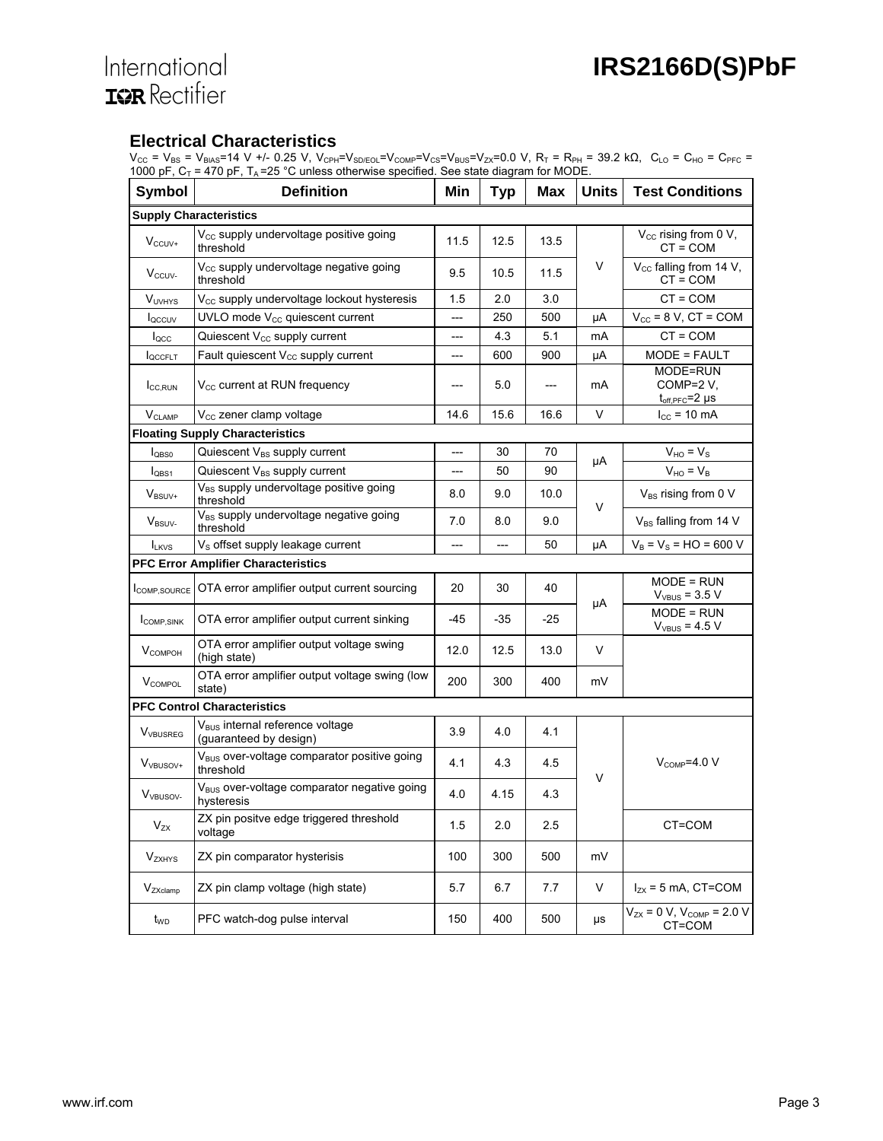#### **Electrical Characteristics**

 $\rm V_{CC}$  = V<sub>BS</sub> = V<sub>BIAS</sub>=14 V +/- 0.25 V, V<sub>CPH</sub>=V<sub>SD/EOL</sub>=V<sub>COMP</sub>=V<sub>CS</sub>=V<sub>BUS</sub>=V<sub>ZX</sub>=0.0 V, R<sub>T</sub> = R<sub>PH</sub> = 39.2 kΩ, C<sub>LO</sub> = C<sub>HO</sub> = C<sub>PFC</sub> = 1000 pF,  $C_T$  = 470 pF,  $T_A$  =25 °C unless otherwise specified. See state diagram for MODE.

| <b>Symbol</b>               | <b>Definition</b>                                                     | Min  | <b>Typ</b> | Max  | <b>Units</b> | <b>Test Conditions</b>                            |  |  |  |
|-----------------------------|-----------------------------------------------------------------------|------|------------|------|--------------|---------------------------------------------------|--|--|--|
|                             | <b>Supply Characteristics</b>                                         |      |            |      |              |                                                   |  |  |  |
| $V_{CCUV+}$                 | V <sub>cc</sub> supply undervoltage positive going<br>threshold       | 11.5 | 12.5       | 13.5 |              | $V_{CC}$ rising from 0 V,<br>CT = COM             |  |  |  |
| $V_{CCUV}$                  | V <sub>cc</sub> supply undervoltage negative going<br>threshold       | 9.5  | 10.5       | 11.5 | V            | V <sub>cc</sub> falling from 14 V,<br>$CT = COM$  |  |  |  |
| <b>VUVHYS</b>               | V <sub>cc</sub> supply undervoltage lockout hysteresis                | 1.5  | 2.0        | 3.0  |              | $CT = COM$                                        |  |  |  |
| loccuv                      | UVLO mode $V_{\text{CC}}$ quiescent current                           | ---  | 250        | 500  | μA           | $V_{\text{cc}}$ = 8 V, CT = COM                   |  |  |  |
| $I_{\text{QCC}}$            | Quiescent V <sub>cc</sub> supply current                              | ---  | 4.3        | 5.1  | mA           | $CT = COM$                                        |  |  |  |
| <b>I</b> QCCFLT             | Fault quiescent V <sub>cc</sub> supply current                        | ---  | 600        | 900  | μA           | MODE = FAULT                                      |  |  |  |
| I <sub>CC,RUN</sub>         | $V_{\text{cc}}$ current at RUN frequency                              | ---  | 5.0        |      | mA           | MODE=RUN<br>COMP=2 V,<br>$t_{off, PFC} = 2 \mu s$ |  |  |  |
| $V_{CLAMP}$                 | $V_{\text{CC}}$ zener clamp voltage                                   | 14.6 | 15.6       | 16.6 | V            | $I_{\text{CC}}$ = 10 mA                           |  |  |  |
|                             | <b>Floating Supply Characteristics</b>                                |      |            |      |              |                                                   |  |  |  |
| $I_{\text{QBS0}}$           | Quiescent $V_{BS}$ supply current                                     | ---  | 30         | 70   |              | $V_{HO} = V_{S}$                                  |  |  |  |
| $I_{\text{OBS1}}$           | Quiescent V <sub>BS</sub> supply current                              | ---  | 50         | 90   | μA           | $V_{HO} = V_B$                                    |  |  |  |
| $V_{BSUV+}$                 | V <sub>BS</sub> supply undervoltage positive going<br>threshold       | 8.0  | 9.0        | 10.0 | V            | V <sub>BS</sub> rising from 0 V                   |  |  |  |
| $V_{\rm BSUV}$              | V <sub>BS</sub> supply undervoltage negative going<br>threshold       | 7.0  | 8.0        | 9.0  |              | V <sub>BS</sub> falling from 14 V                 |  |  |  |
| <b>ILKVS</b>                | V <sub>s</sub> offset supply leakage current                          | ---  | ---        | 50   | μA           | $V_B = V_S = HO = 600 V$                          |  |  |  |
|                             | <b>PFC Error Amplifier Characteristics</b>                            |      |            |      |              |                                                   |  |  |  |
| COMP, SOURCE                | OTA error amplifier output current sourcing                           | 20   | 30         | 40   | μA           | $MODE = RUN$<br>$V_{VBUS} = 3.5 V$                |  |  |  |
| <b>COMP.SINK</b>            | OTA error amplifier output current sinking                            | -45  | -35        | -25  |              | MODE = RUN<br>$V_{VBUS} = 4.5 V$                  |  |  |  |
| $V_{COMPOH}$                | OTA error amplifier output voltage swing<br>(high state)              | 12.0 | 12.5       | 13.0 | V            |                                                   |  |  |  |
| <b>V</b> COMPOL             | OTA error amplifier output voltage swing (low<br>state)               | 200  | 300        | 400  | mV           |                                                   |  |  |  |
|                             | <b>PFC Control Characteristics</b>                                    |      |            |      |              |                                                   |  |  |  |
| <b>V</b> <sub>VBUSREG</sub> | V <sub>BUS</sub> internal reference voltage<br>(guaranteed by design) | 3.9  | 4.0        | 4.1  |              |                                                   |  |  |  |
| $V_{VBUSOV+}$               | V <sub>BUS</sub> over-voltage comparator positive going<br>threshold  | 4.1  | 4.3        | 45   |              | $V_{\text{COMP}}=4.0 V$                           |  |  |  |
| V <sub>VBUSOV-</sub>        | V <sub>BUS</sub> over-voltage comparator negative going<br>hysteresis | 4.0  | 4.15       | 4.3  | V            |                                                   |  |  |  |
| $V_{ZX}$                    | ZX pin positve edge triggered threshold<br>voltage                    | 1.5  | 2.0        | 2.5  |              | CT=COM                                            |  |  |  |
| <b>V</b> <sub>ZXHYS</sub>   | ZX pin comparator hysterisis                                          | 100  | 300        | 500  | mV           |                                                   |  |  |  |
| V <sub>ZXclamp</sub>        | ZX pin clamp voltage (high state)                                     | 5.7  | 6.7        | 7.7  | V            | $I_{ZX}$ = 5 mA, CT=COM                           |  |  |  |
| t <sub>wp</sub>             | PFC watch-dog pulse interval                                          | 150  | 400        | 500  | $\mu s$      | $V_{ZX} = 0 V$ , $V_{COMP} = 2.0 V$<br>CT=COM     |  |  |  |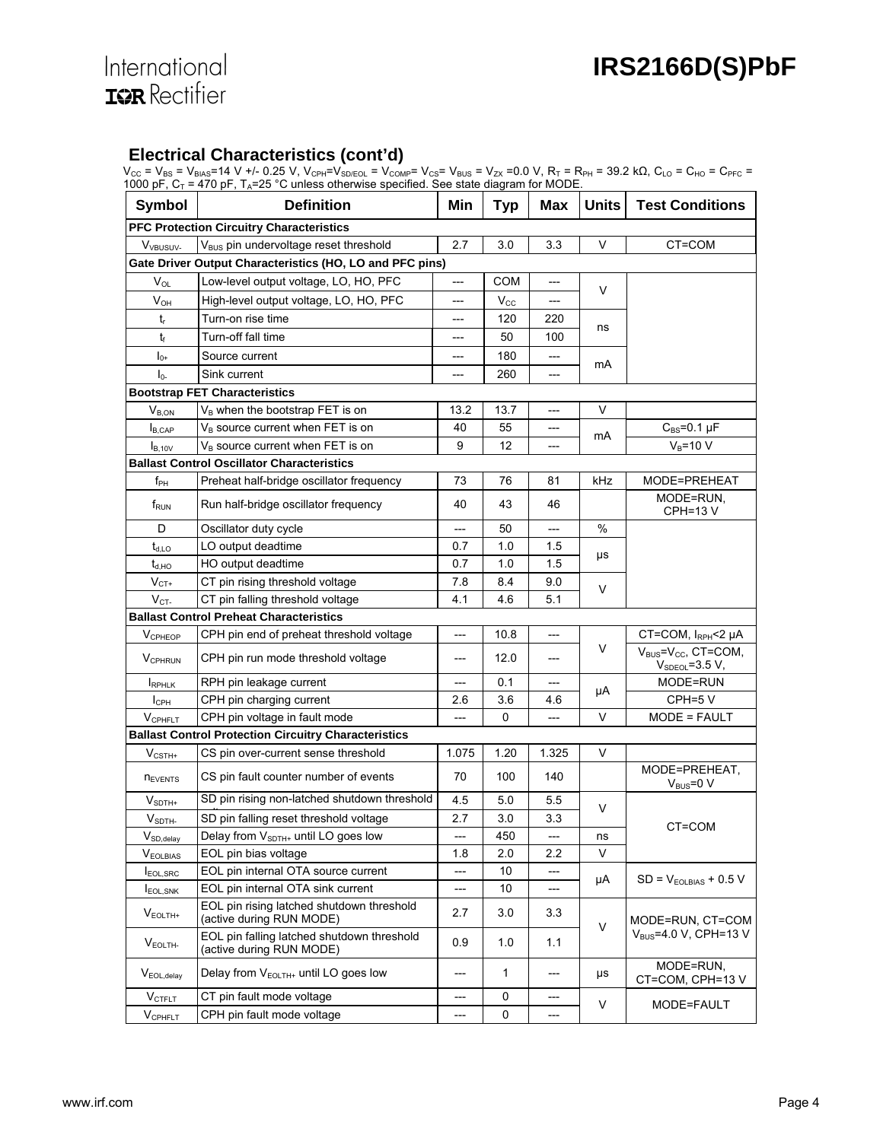#### **Electrical Characteristics (cont'd)**

 $\rm V_{CC}$  =  $\rm V_{BS}$  =  $\rm V_{BIAS}$ =14 V +/- 0.25 V,  $\rm V_{CPH}$ = $\rm V_{SDEOL}$  =  $\rm V_{COMP}$ =  $\rm V_{CS}$  =  $\rm V_{BUS}$  =  $\rm V_{ZX}$  =0.0 V,  $\rm R_T$  =  $\rm R_{PH}$  = 39.2 k $\Omega$ ,  $\rm C_{LO}$  =  $\rm C_{HO}$  =  $\rm C_{PFC}$  = 1000 pF,  $C_T$  = 470 pF,  $T_A$ =25 °C unless otherwise specified. See state diagram for MODE.

| <b>Symbol</b>                                            | $1000$ pr , $C_1$ – 470 pr , $1_A$ –20 $\sigma$ unicas otherwise specified. Oce state diagram for MODE.<br><b>Definition</b> | Min   | <b>Typ</b>   | Max                                 | <b>Units</b> | <b>Test Conditions</b>                                |  |  |
|----------------------------------------------------------|------------------------------------------------------------------------------------------------------------------------------|-------|--------------|-------------------------------------|--------------|-------------------------------------------------------|--|--|
|                                                          |                                                                                                                              |       |              |                                     |              |                                                       |  |  |
| <b>PFC Protection Circuitry Characteristics</b>          |                                                                                                                              |       |              |                                     |              |                                                       |  |  |
| V <sub>VBUSUV</sub> .                                    | V <sub>BUS</sub> pin undervoltage reset threshold                                                                            | 2.7   | 3.0          | 3.3                                 | V            | CT=COM                                                |  |  |
| Gate Driver Output Characteristics (HO, LO and PFC pins) |                                                                                                                              |       |              |                                     |              |                                                       |  |  |
| $V_{OL}$                                                 | Low-level output voltage, LO, HO, PFC                                                                                        | ---   | <b>COM</b>   | ---                                 | V            |                                                       |  |  |
| $V_{OH}$                                                 | High-level output voltage, LO, HO, PFC                                                                                       | ---   | $V_{\rm CC}$ | ---                                 |              |                                                       |  |  |
| $t_{r}$                                                  | Turn-on rise time                                                                                                            | ---   | 120          | 220                                 | ns           |                                                       |  |  |
| t                                                        | Turn-off fall time                                                                                                           | ---   | 50           | 100                                 |              |                                                       |  |  |
| $I_{0+}$                                                 | Source current                                                                                                               | ---   | 180          | ---                                 | mA           |                                                       |  |  |
| I <sub>0</sub>                                           | Sink current                                                                                                                 | ---   | 260          | ---                                 |              |                                                       |  |  |
|                                                          | <b>Bootstrap FET Characteristics</b>                                                                                         |       |              |                                     |              |                                                       |  |  |
| $V_{B,ON}$                                               | $V_B$ when the bootstrap FET is on                                                                                           | 13.2  | 13.7         | ---                                 | V            |                                                       |  |  |
| <b>B</b> ,CAP                                            | $V_B$ source current when FET is on                                                                                          | 40    | 55           | ---                                 |              | $C_{BS} = 0.1 \mu F$                                  |  |  |
| I <sub>B,10V</sub>                                       | $V_B$ source current when FET is on                                                                                          | 9     | 12           |                                     | mA           | $V_B = 10 V$                                          |  |  |
|                                                          | <b>Ballast Control Oscillator Characteristics</b>                                                                            |       |              |                                     |              |                                                       |  |  |
| $f_{PH}$                                                 | Preheat half-bridge oscillator frequency                                                                                     | 73    | 76           | 81                                  | kHz          | MODE=PREHEAT                                          |  |  |
| f <sub>RUN</sub>                                         | Run half-bridge oscillator frequency                                                                                         | 40    | 43           | 46                                  |              | MODE=RUN,<br><b>CPH=13 V</b>                          |  |  |
| D                                                        | Oscillator duty cycle                                                                                                        | ---   | 50           | ---                                 | %            |                                                       |  |  |
| $t_{d,LO}$                                               | LO output deadtime                                                                                                           | 0.7   | 1.0          | 1.5                                 |              |                                                       |  |  |
| $t_{d,HO}$                                               | HO output deadtime                                                                                                           | 0.7   | 1.0          | 1.5                                 | μs           |                                                       |  |  |
| $\mathsf{V}_{\texttt{CT+}}$                              | CT pin rising threshold voltage                                                                                              | 7.8   | 8.4          | 9.0                                 |              |                                                       |  |  |
| $V_{CT}$                                                 | CT pin falling threshold voltage                                                                                             | 4.1   | 4.6          | 5.1                                 | V            |                                                       |  |  |
|                                                          | <b>Ballast Control Preheat Characteristics</b>                                                                               |       |              |                                     |              |                                                       |  |  |
| $V_{\text{CPHEOP}}$                                      | CPH pin end of preheat threshold voltage                                                                                     | ---   | 10.8         | ---                                 |              | CT=COM, IRPH<2 µA                                     |  |  |
| <b>VCPHRUN</b>                                           | CPH pin run mode threshold voltage                                                                                           | ---   | 12.0         | ---                                 | V            | $V_{BUS} = V_{CC}$ , CT=COM,<br>$V_{SDEOL} = 3.5 V,$  |  |  |
| RPHLK                                                    | RPH pin leakage current                                                                                                      | ---   | 0.1          | $\hspace{0.05cm}---\hspace{0.05cm}$ |              | MODE=RUN                                              |  |  |
| $I_{\text{CPH}}$                                         | CPH pin charging current                                                                                                     | 2.6   | 3.6          | 4.6                                 | μA           | CPH=5 V                                               |  |  |
| VCPHFLT                                                  | CPH pin voltage in fault mode                                                                                                | ---   | 0            | ---                                 | V            | MODE = FAULT                                          |  |  |
|                                                          | <b>Ballast Control Protection Circuitry Characteristics</b>                                                                  |       |              |                                     |              |                                                       |  |  |
| $V_{\text{CSTH+}}$                                       | CS pin over-current sense threshold                                                                                          | 1.075 | 1.20         | 1.325                               | V            |                                                       |  |  |
| <b>NEVENTS</b>                                           | CS pin fault counter number of events                                                                                        | 70    | 100          | 140                                 |              | MODE=PREHEAT,<br>$V_{\text{BUS}} = 0 V$               |  |  |
| $V_{\mathsf{SDTH+}}$                                     | SD pin rising non-latched shutdown threshold                                                                                 | 4.5   | 5.0          | 5.5                                 |              |                                                       |  |  |
| V <sub>SDTH</sub>                                        | SD pin falling reset threshold voltage                                                                                       | 2.7   | 3.0          | 3.3                                 | V            |                                                       |  |  |
| $V_{SD, delay}$                                          | Delay from V <sub>SDTH+</sub> until LO goes low                                                                              | ---   | 450          | ---                                 | ns           | CT=COM                                                |  |  |
| $V_{EOLBIAS}$                                            | EOL pin bias voltage                                                                                                         | 1.8   | 2.0          | 2.2                                 | V            |                                                       |  |  |
| EOL.SRC                                                  | EOL pin internal OTA source current                                                                                          | ---   | 10           | ---                                 |              |                                                       |  |  |
| <b>I</b> EOL, SNK                                        | EOL pin internal OTA sink current                                                                                            | ---   | 10           | ---                                 | μA           | $SD = VEOLBIAS + 0.5 V$                               |  |  |
| $V_{EOLTH+}$                                             | EOL pin rising latched shutdown threshold<br>(active during RUN MODE)                                                        | 2.7   | 3.0          | 3.3                                 |              | MODE=RUN, CT=COM<br>V <sub>BUS</sub> =4.0 V, CPH=13 V |  |  |
| $V_{EOLTH}$                                              | EOL pin falling latched shutdown threshold<br>(active during RUN MODE)                                                       | 0.9   | 1.0          | 1.1                                 | V            |                                                       |  |  |
| V <sub>EOL.delav</sub>                                   | Delay from $V_{FOLTH+}$ until LO goes low                                                                                    | ---   | $\mathbf{1}$ | ---                                 | μs           | MODE=RUN,<br>CT=COM, CPH=13V                          |  |  |
| $V_{\text{CTFLT}}$                                       | CT pin fault mode voltage                                                                                                    | ---   | 0            | ---                                 | V            | MODE=FAULT                                            |  |  |
| $V_{\text{CPHFLT}}$                                      | CPH pin fault mode voltage                                                                                                   | ---   | 0            | ---                                 |              |                                                       |  |  |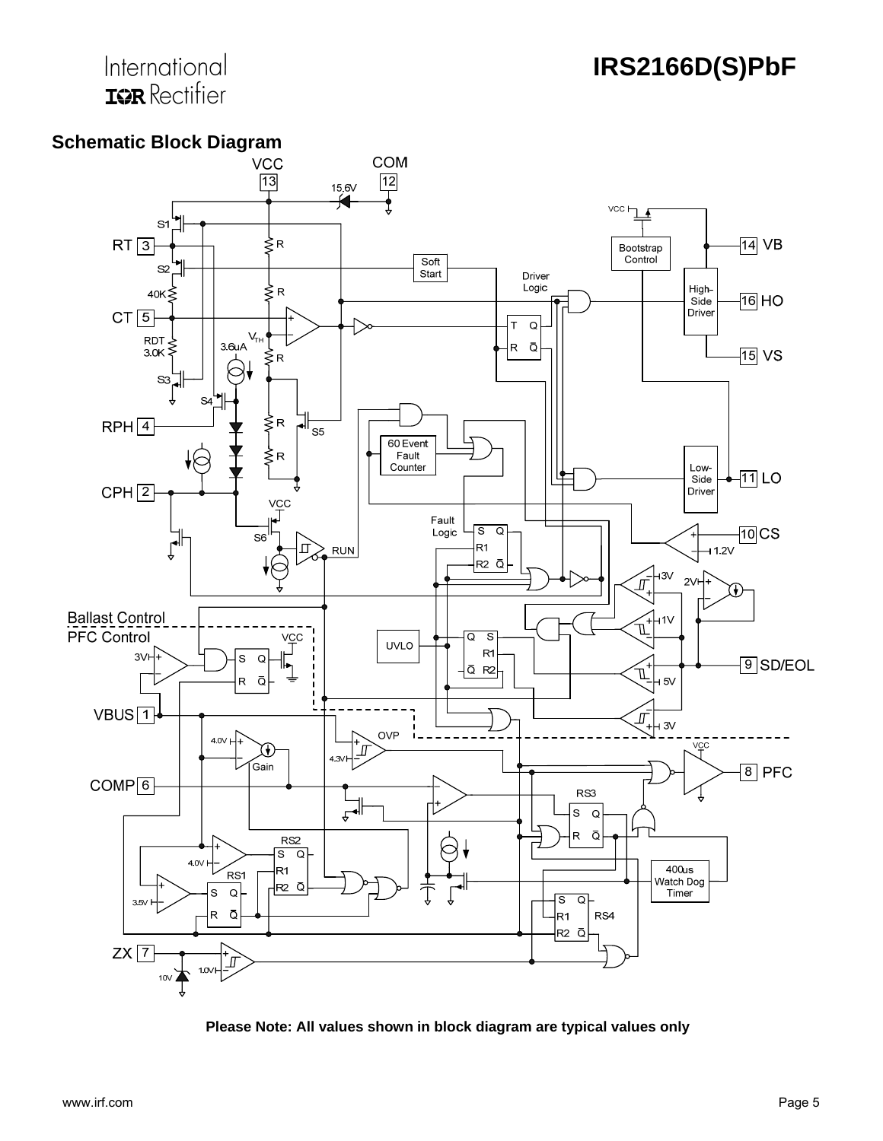## International **IGR** Rectifier





**Please Note: All values shown in block diagram are typical values only**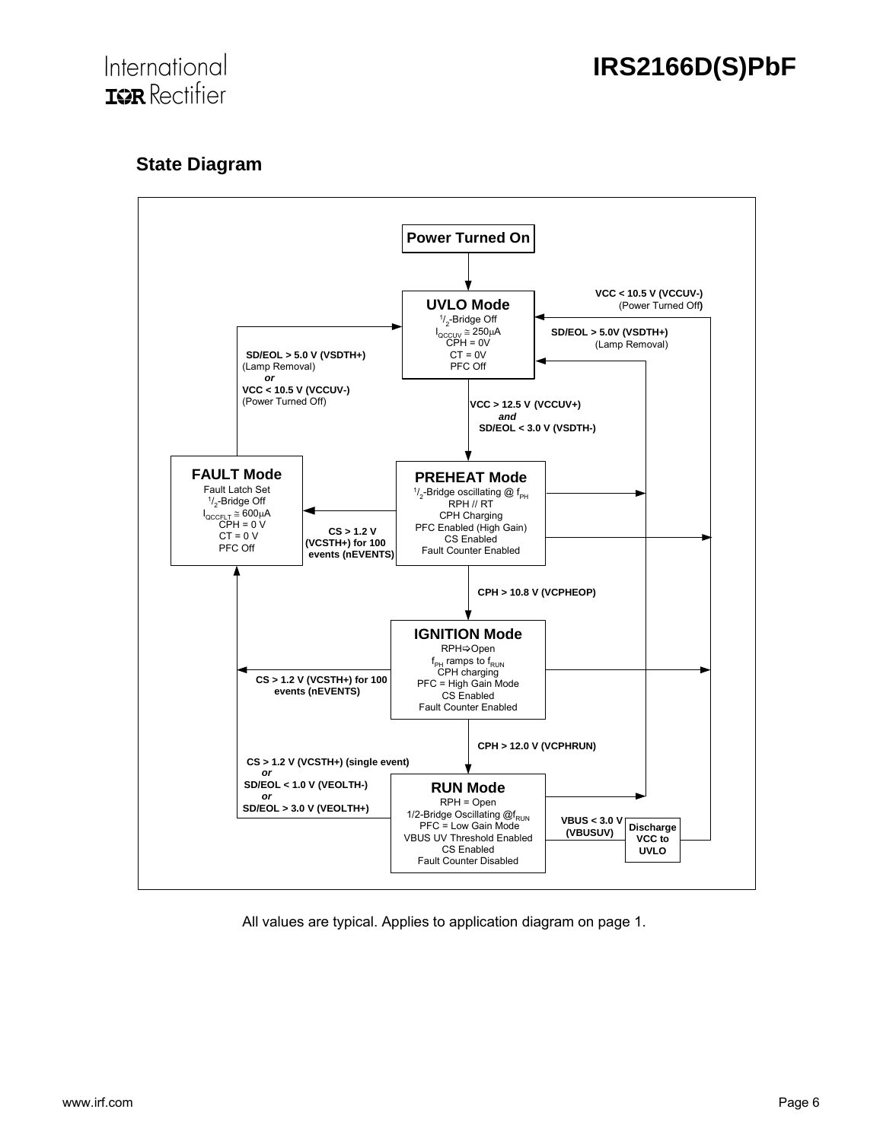

## **State Diagram**



All values are typical. Applies to application diagram on page 1.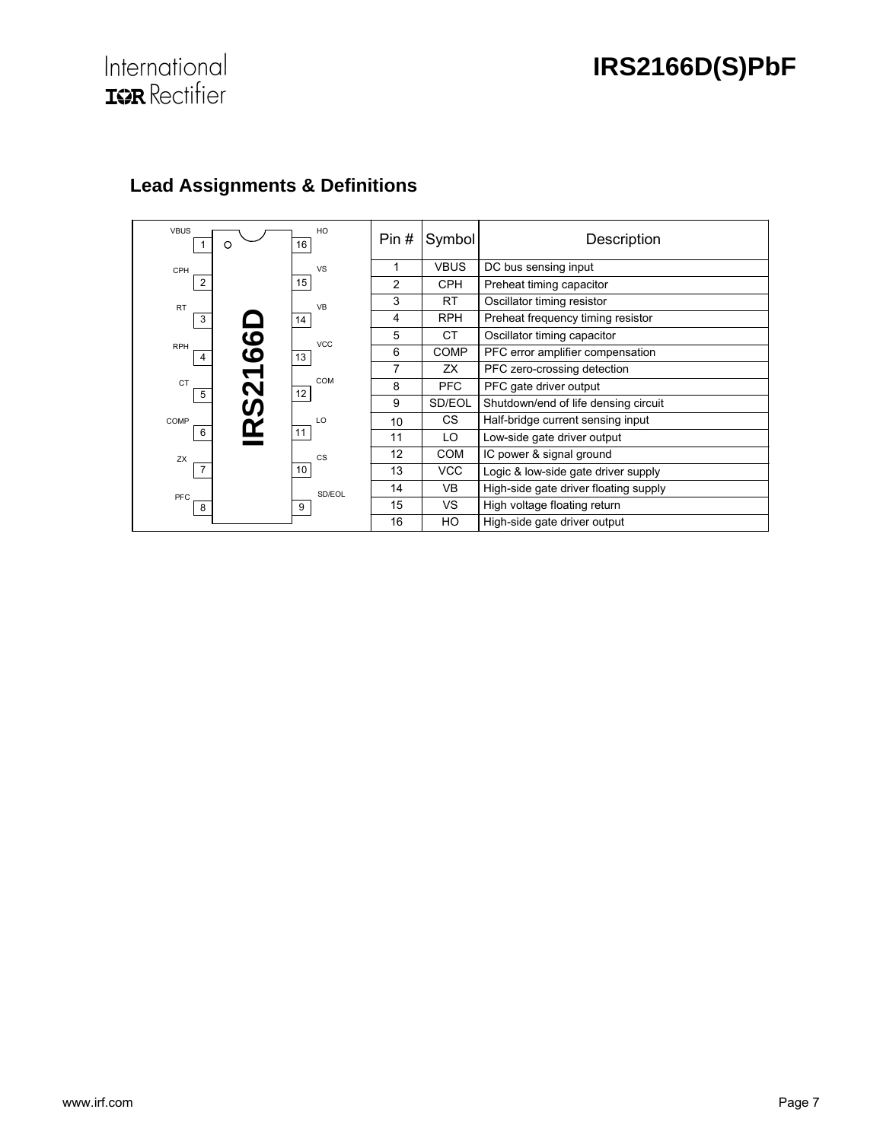# **International**<br>**IGR** Rectifier

| <b>VBUS</b><br>O                 | HO<br>16   | Pin# | Symbol      | Description                           |
|----------------------------------|------------|------|-------------|---------------------------------------|
| CPH                              | <b>VS</b>  | 1    | <b>VBUS</b> | DC bus sensing input                  |
| $\overline{2}$                   | 15         | 2    | <b>CPH</b>  | Preheat timing capacitor              |
| <b>RT</b>                        | <b>VB</b>  | 3    | <b>RT</b>   | Oscillator timing resistor            |
| 3                                | 14         | 4    | <b>RPH</b>  | Preheat frequency timing resistor     |
|                                  | <b>VCC</b> | 5    | <b>CT</b>   | Oscillator timing capacitor           |
| <u>၆</u><br>၆<br><b>RPH</b><br>4 | 13         | 6    | COMP        | PFC error amplifier compensation      |
|                                  |            | 7    | ZX          | PFC zero-crossing detection           |
| <b>CT</b><br>5                   | COM<br>12  | 8    | <b>PFC</b>  | PFC gate driver output                |
| 721<br>02                        |            | 9    | SD/EOL      | Shutdown/end of life densing circuit  |
| COMP<br><u>n/</u>                | LO         | 10   | CS.         | Half-bridge current sensing input     |
| 6                                | 11         | 11   | LO          | Low-side gate driver output           |
| ZX                               | <b>CS</b>  | 12   | <b>COM</b>  | IC power & signal ground              |
| $\overline{7}$                   | 10         | 13   | <b>VCC</b>  | Logic & low-side gate driver supply   |
| PFC                              | SD/FOL     | 14   | <b>VB</b>   | High-side gate driver floating supply |
| 8                                | 9          | 15   | <b>VS</b>   | High voltage floating return          |
|                                  |            | 16   | HO          | High-side gate driver output          |

## **Lead Assignments & Definitions**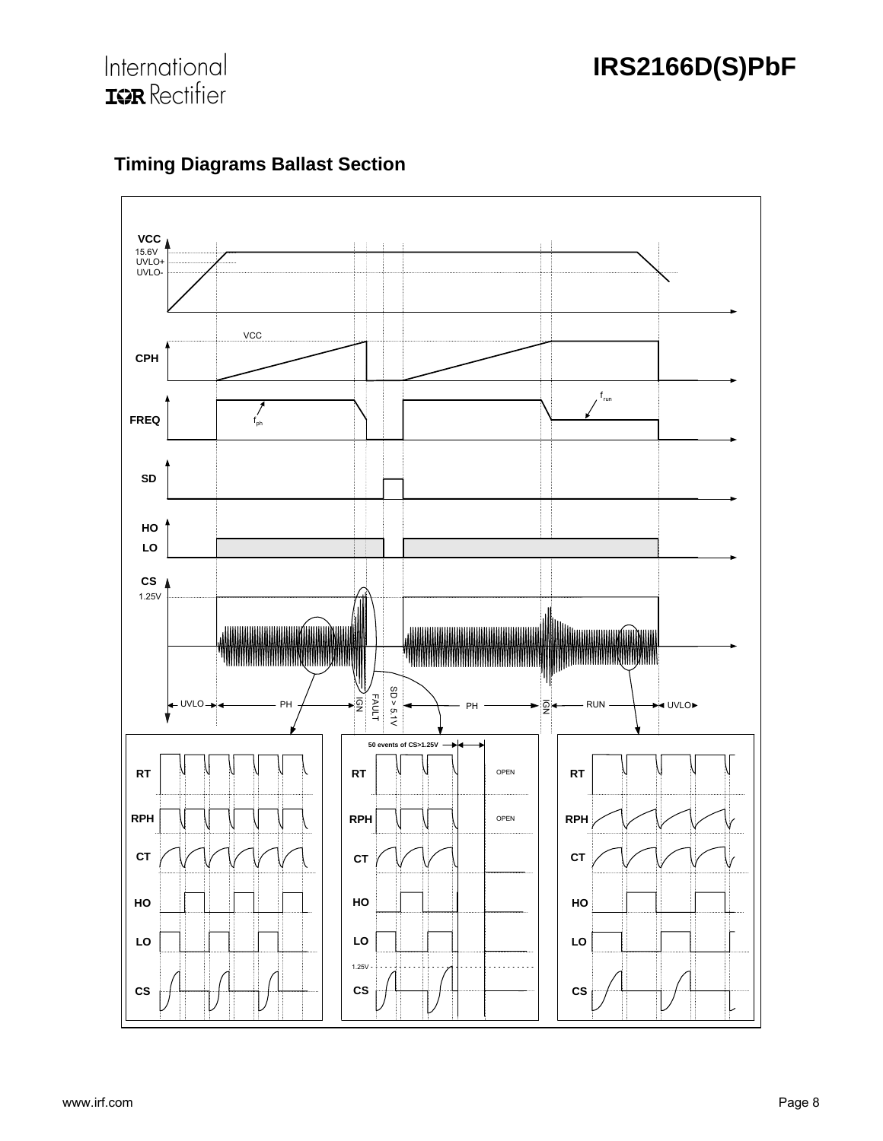



## **Timing Diagrams Ballast Section**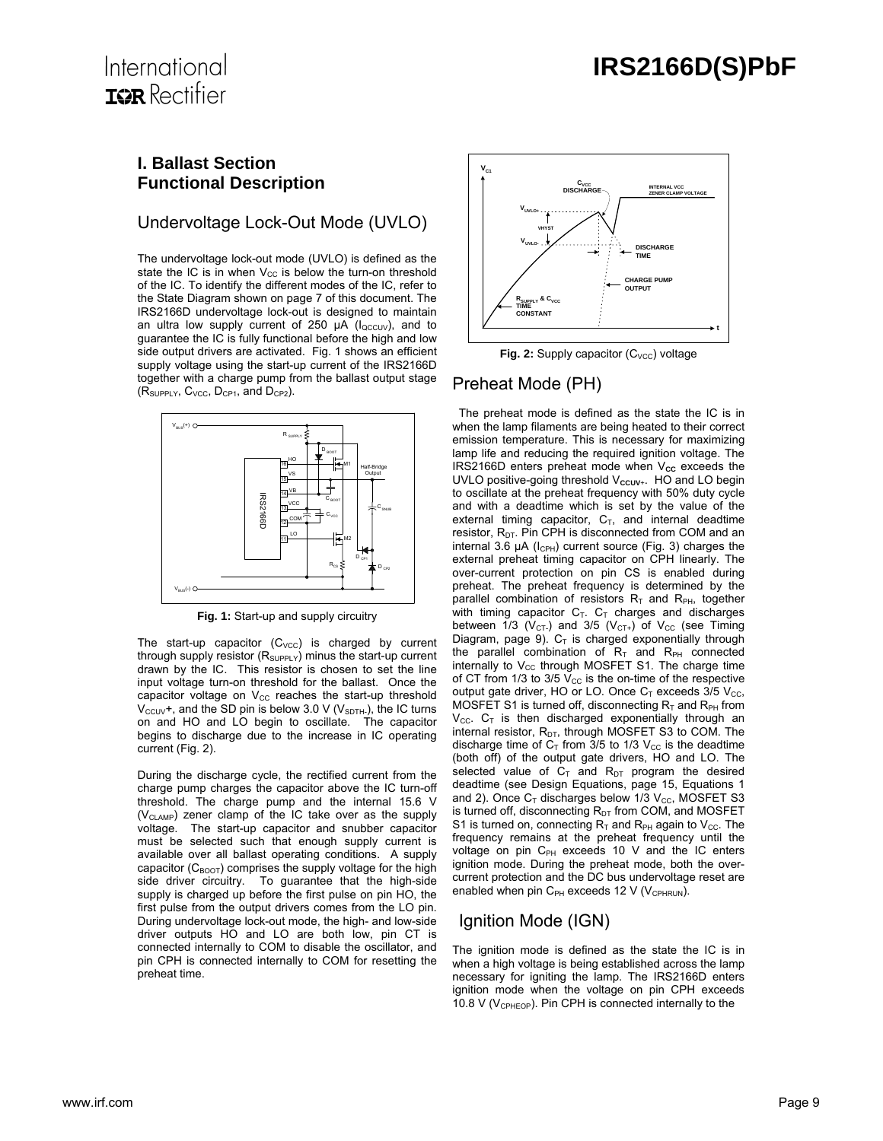## International **IGR** Rectifier

#### **I. Ballast Section Functional Description**

#### Undervoltage Lock-Out Mode (UVLO)

The undervoltage lock-out mode (UVLO) is defined as the state the IC is in when  $V_{CC}$  is below the turn-on threshold of the IC. To identify the different modes of the IC, refer to the State Diagram shown on page 7 of this document. The IRS2166D undervoltage lock-out is designed to maintain an ultra low supply current of 250  $\mu$ A ( $I_{\text{QCCUV}}$ ), and to guarantee the IC is fully functional before the high and low side output drivers are activated. Fig. 1 shows an efficient supply voltage using the start-up current of the IRS2166D together with a charge pump from the ballast output stage  $(R_{SUPPIY}, C_{VCC}, D_{CP1}$ , and  $D_{CP2}$ ).



**Fig. 1:** Start-up and supply circuitry

The start-up capacitor  $(C_{\text{VCC}})$  is charged by current through supply resistor  $(R_{\text{SUPPLY}})$  minus the start-up current drawn by the IC. This resistor is chosen to set the line input voltage turn-on threshold for the ballast. Once the capacitor voltage on  $V_{CC}$  reaches the start-up threshold  $V_{\text{CCUV}}$ +, and the SD pin is below 3.0 V ( $V_{\text{SDTH}}$ ), the IC turns on and HO and LO begin to oscillate. The capacitor begins to discharge due to the increase in IC operating current (Fig. 2).

During the discharge cycle, the rectified current from the charge pump charges the capacitor above the IC turn-off threshold. The charge pump and the internal 15.6 V  $(V_{CLAMP})$  zener clamp of the IC take over as the supply voltage. The start-up capacitor and snubber capacitor must be selected such that enough supply current is available over all ballast operating conditions. A supply capacitor ( $C_{\text{BOOT}}$ ) comprises the supply voltage for the high side driver circuitry. To guarantee that the high-side supply is charged up before the first pulse on pin HO, the first pulse from the output drivers comes from the LO pin. During undervoltage lock-out mode, the high- and low-side driver outputs HO and LO are both low, pin CT is connected internally to COM to disable the oscillator, and pin CPH is connected internally to COM for resetting the preheat time.



Fig. 2: Supply capacitor (C<sub>VCC</sub>) voltage

## Preheat Mode (PH)

The preheat mode is defined as the state the IC is in when the lamp filaments are being heated to their correct emission temperature. This is necessary for maximizing lamp life and reducing the required ignition voltage. The IRS2166D enters preheat mode when V<sub>cc</sub> exceeds the UVLO positive-going threshold V<sub>ccuv+</sub>. HO and LO begin to oscillate at the preheat frequency with 50% duty cycle and with a deadtime which is set by the value of the external timing capacitor,  $C_T$ , and internal deadtime resistor,  $R<sub>DT</sub>$ . Pin CPH is disconnected from COM and an internal 3.6  $\mu$ A ( $I_{\text{CPH}}$ ) current source (Fig. 3) charges the external preheat timing capacitor on CPH linearly. The over-current protection on pin CS is enabled during preheat. The preheat frequency is determined by the parallel combination of resistors  $R<sub>T</sub>$  and  $R<sub>PH</sub>$ , together with timing capacitor  $C_T$ .  $C_T$  charges and discharges between  $1/3$  (V<sub>CT</sub>) and 3/5 (V<sub>CT+</sub>) of V<sub>CC</sub> (see Timing Diagram, page 9).  $C_T$  is charged exponentially through the parallel combination of  $R<sub>T</sub>$  and  $R<sub>PH</sub>$  connected internally to  $V_{CC}$  through MOSFET S1. The charge time of CT from  $1/3$  to  $3/5$  V<sub>cc</sub> is the on-time of the respective output gate driver, HO or LO. Once  $C_T$  exceeds 3/5 V<sub>CC</sub>, MOSFET S1 is turned off, disconnecting  $R_T$  and  $R_{PH}$  from  $V_{\text{CC}}$ .  $C_{\text{T}}$  is then discharged exponentially through an internal resistor,  $R_{DT}$ , through MOSFET S3 to COM. The discharge time of  $C_T$  from 3/5 to 1/3  $V_{CC}$  is the deadtime (both off) of the output gate drivers, HO and LO. The selected value of  $C_T$  and  $R_{DT}$  program the desired deadtime (see Design Equations, page 15, Equations 1 and 2). Once  $C_T$  discharges below 1/3  $V_{CC}$ , MOSFET S3 is turned off, disconnecting  $R_{DT}$  from COM, and MOSFET S1 is turned on, connecting  $R_T$  and  $R_{PH}$  again to  $V_{CC}$ . The frequency remains at the preheat frequency until the voltage on pin  $C_{PH}$  exceeds 10 V and the IC enters ignition mode. During the preheat mode, both the overcurrent protection and the DC bus undervoltage reset are enabled when pin  $C_{PH}$  exceeds 12 V (V<sub>CPHRUN</sub>).

## Ignition Mode (IGN)

The ignition mode is defined as the state the IC is in when a high voltage is being established across the lamp necessary for igniting the lamp. The IRS2166D enters ignition mode when the voltage on pin CPH exceeds 10.8 V ( $V_{\text{CPHEOP}}$ ). Pin CPH is connected internally to the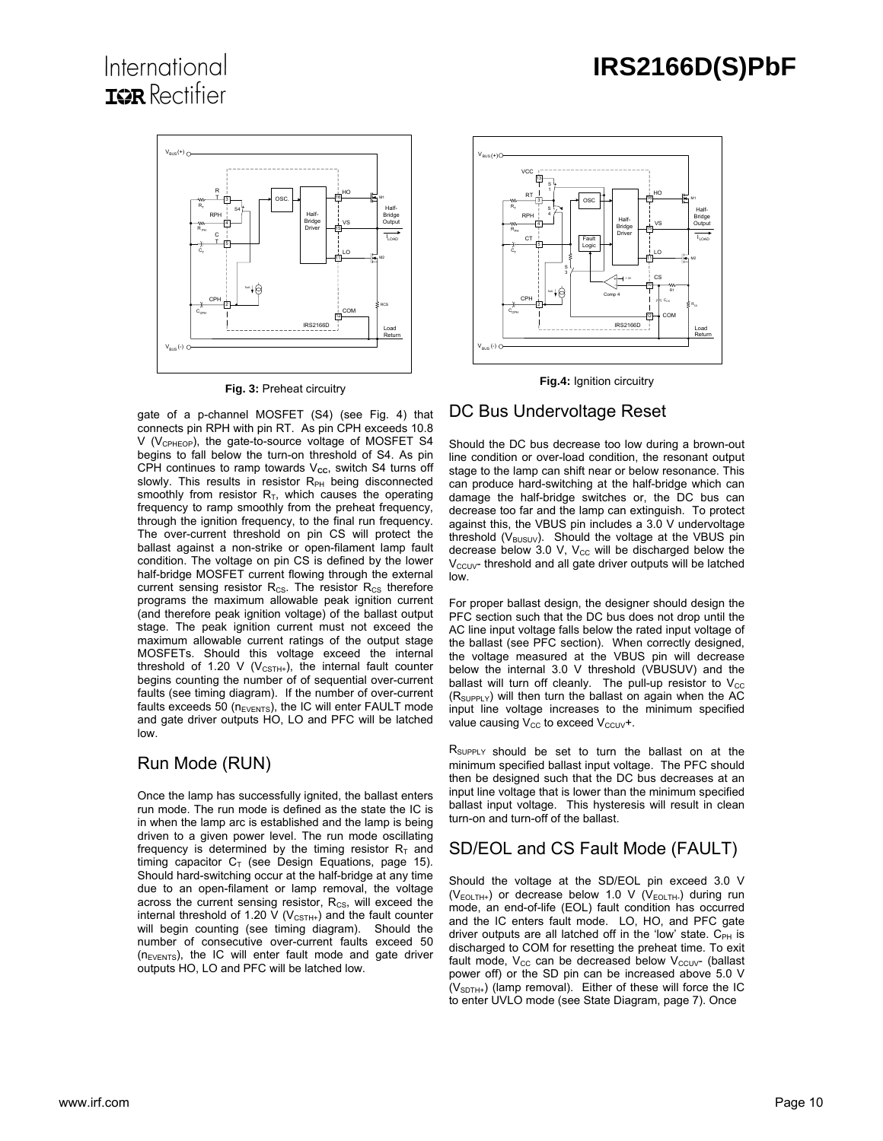## International **IOR** Rectifier



**Fig. 3:** Preheat circuitry

gate of a p-channel MOSFET (S4) (see Fig. 4) that connects pin RPH with pin RT. As pin CPH exceeds 10.8  $V$  (V<sub>CPHEOP</sub>), the gate-to-source voltage of MOSFET S4 begins to fall below the turn-on threshold of S4. As pin CPH continues to ramp towards V<sub>cc</sub>, switch S4 turns off slowly. This results in resistor  $R_{PH}$  being disconnected smoothly from resistor  $R<sub>T</sub>$ , which causes the operating frequency to ramp smoothly from the preheat frequency, through the ignition frequency, to the final run frequency. The over-current threshold on pin CS will protect the ballast against a non-strike or open-filament lamp fault condition. The voltage on pin CS is defined by the lower half-bridge MOSFET current flowing through the external current sensing resistor  $R_{CS}$ . The resistor  $R_{CS}$  therefore programs the maximum allowable peak ignition current (and therefore peak ignition voltage) of the ballast output stage. The peak ignition current must not exceed the maximum allowable current ratings of the output stage MOSFETs. Should this voltage exceed the internal threshold of 1.20 V ( $V_{\text{CSTH+}}$ ), the internal fault counter begins counting the number of of sequential over-current faults (see timing diagram). If the number of over-current faults exceeds 50 ( $n_{EVENTS}$ ), the IC will enter FAULT mode and gate driver outputs HO, LO and PFC will be latched low.

#### Run Mode (RUN)

Once the lamp has successfully ignited, the ballast enters run mode. The run mode is defined as the state the IC is in when the lamp arc is established and the lamp is being driven to a given power level. The run mode oscillating frequency is determined by the timing resistor  $R<sub>T</sub>$  and timing capacitor  $C_T$  (see Design Equations, page 15). Should hard-switching occur at the half-bridge at any time due to an open-filament or lamp removal, the voltage across the current sensing resistor,  $R_{\text{cs}}$ , will exceed the internal threshold of 1.20 V ( $V_{CSTH+}$ ) and the fault counter will begin counting (see timing diagram). Should the number of consecutive over-current faults exceed 50  $(n_{EVENTS})$ , the IC will enter fault mode and gate driver outputs HO, LO and PFC will be latched low.



**Fig.4:** Ignition circuitry

#### DC Bus Undervoltage Reset

Should the DC bus decrease too low during a brown-out line condition or over-load condition, the resonant output stage to the lamp can shift near or below resonance. This can produce hard-switching at the half-bridge which can damage the half-bridge switches or, the DC bus can decrease too far and the lamp can extinguish. To protect against this, the VBUS pin includes a 3.0 V undervoltage threshold  $(V_{\text{BUSUV}})$ . Should the voltage at the VBUS pin decrease below 3.0 V,  $V_{CC}$  will be discharged below the  $V<sub>CCUV</sub>$  threshold and all gate driver outputs will be latched low.

For proper ballast design, the designer should design the PFC section such that the DC bus does not drop until the AC line input voltage falls below the rated input voltage of the ballast (see PFC section). When correctly designed, the voltage measured at the VBUS pin will decrease below the internal 3.0 V threshold (VBUSUV) and the ballast will turn off cleanly. The pull-up resistor to  $V_{\text{CC}}$  $(R_{SUPPIY})$  will then turn the ballast on again when the AC input line voltage increases to the minimum specified value causing  $V_{CC}$  to exceed  $V_{CCUV}$ +.

R<sub>SUPPLY</sub> should be set to turn the ballast on at the minimum specified ballast input voltage. The PFC should then be designed such that the DC bus decreases at an input line voltage that is lower than the minimum specified ballast input voltage. This hysteresis will result in clean turn-on and turn-off of the ballast.

## SD/EOL and CS Fault Mode (FAULT)

Should the voltage at the SD/EOL pin exceed 3.0 V  $(V_{EOLTH+})$  or decrease below 1.0 V ( $V_{EOLTH-}$ ) during run mode, an end-of-life (EOL) fault condition has occurred and the IC enters fault mode. LO, HO, and PFC gate driver outputs are all latched off in the 'low' state.  $C_{PH}$  is discharged to COM for resetting the preheat time. To exit fault mode,  $V_{CC}$  can be decreased below  $V_{CCUV}$  (ballast power off) or the SD pin can be increased above 5.0 V  $(V<sub>SDTH+</sub>)$  (lamp removal). Either of these will force the IC to enter UVLO mode (see State Diagram, page 7). Once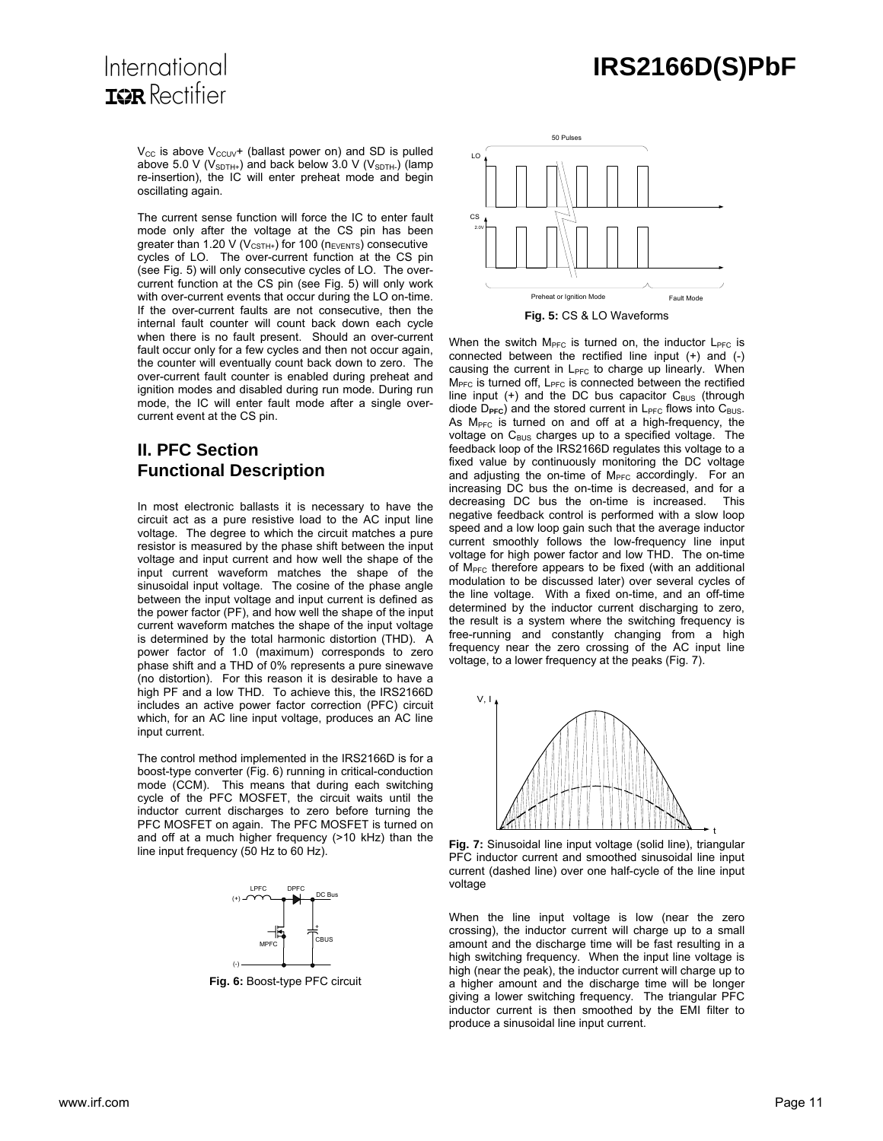$V_{CC}$  is above  $V_{CCUV}$ + (ballast power on) and SD is pulled above 5.0 V ( $V_{SDTH+}$ ) and back below 3.0 V ( $V_{SDTH-}$ ) (lamp

International **IOR** Rectifier

> re-insertion), the IC will enter preheat mode and begin oscillating again. The current sense function will force the IC to enter fault mode only after the voltage at the CS pin has been greater than 1.20 V ( $V_{\text{CSTH+}}$ ) for 100 ( $n_{\text{EVENTS}}$ ) consecutive cycles of LO. The over-current function at the CS pin (see Fig. 5) will only consecutive cycles of LO. The overcurrent function at the CS pin (see Fig. 5) will only work with over-current events that occur during the LO on-time.

> If the over-current faults are not consecutive, then the internal fault counter will count back down each cycle when there is no fault present. Should an over-current fault occur only for a few cycles and then not occur again, the counter will eventually count back down to zero. The over-current fault counter is enabled during preheat and ignition modes and disabled during run mode. During run mode, the IC will enter fault mode after a single overcurrent event at the CS pin.

#### **II. PFC Section Functional Description**

In most electronic ballasts it is necessary to have the circuit act as a pure resistive load to the AC input line voltage. The degree to which the circuit matches a pure resistor is measured by the phase shift between the input voltage and input current and how well the shape of the input current waveform matches the shape of the sinusoidal input voltage. The cosine of the phase angle between the input voltage and input current is defined as the power factor (PF), and how well the shape of the input current waveform matches the shape of the input voltage is determined by the total harmonic distortion (THD). A power factor of 1.0 (maximum) corresponds to zero phase shift and a THD of 0% represents a pure sinewave (no distortion). For this reason it is desirable to have a high PF and a low THD. To achieve this, the IRS2166D includes an active power factor correction (PFC) circuit which, for an AC line input voltage, produces an AC line input current.

The control method implemented in the IRS2166D is for a boost-type converter (Fig. 6) running in critical-conduction mode (CCM). This means that during each switching cycle of the PFC MOSFET, the circuit waits until the inductor current discharges to zero before turning the PFC MOSFET on again. The PFC MOSFET is turned on and off at a much higher frequency (>10 kHz) than the line input frequency (50 Hz to 60 Hz).



**Fig. 6:** Boost-type PFC circuit



When the switch  $M<sub>PEC</sub>$  is turned on, the inductor  $L<sub>PEC</sub>$  is connected between the rectified line input (+) and (-) causing the current in  $L_{PFC}$  to charge up linearly. When  $M<sub>PFC</sub>$  is turned off,  $L<sub>PFC</sub>$  is connected between the rectified line input  $(+)$  and the DC bus capacitor  $C_{\text{BUS}}$  (through diode D<sub>PFC</sub>) and the stored current in L<sub>PFC</sub> flows into C<sub>BUS</sub>. As  $M<sub>PFC</sub>$  is turned on and off at a high-frequency, the voltage on C<sub>BUS</sub> charges up to a specified voltage. The feedback loop of the IRS2166D regulates this voltage to a fixed value by continuously monitoring the DC voltage and adjusting the on-time of  $M<sub>PFC</sub>$  accordingly. For an increasing DC bus the on-time is decreased, and for a decreasing DC bus the on-time is increased. negative feedback control is performed with a slow loop speed and a low loop gain such that the average inductor current smoothly follows the low-frequency line input voltage for high power factor and low THD. The on-time of M<sub>PFC</sub> therefore appears to be fixed (with an additional modulation to be discussed later) over several cycles of the line voltage. With a fixed on-time, and an off-time determined by the inductor current discharging to zero, the result is a system where the switching frequency is free-running and constantly changing from a high frequency near the zero crossing of the AC input line voltage, to a lower frequency at the peaks (Fig. 7).



**Fig. 7:** Sinusoidal line input voltage (solid line), triangular PFC inductor current and smoothed sinusoidal line input current (dashed line) over one half-cycle of the line input voltage

When the line input voltage is low (near the zero crossing), the inductor current will charge up to a small amount and the discharge time will be fast resulting in a high switching frequency. When the input line voltage is high (near the peak), the inductor current will charge up to a higher amount and the discharge time will be longer giving a lower switching frequency. The triangular PFC inductor current is then smoothed by the EMI filter to produce a sinusoidal line input current.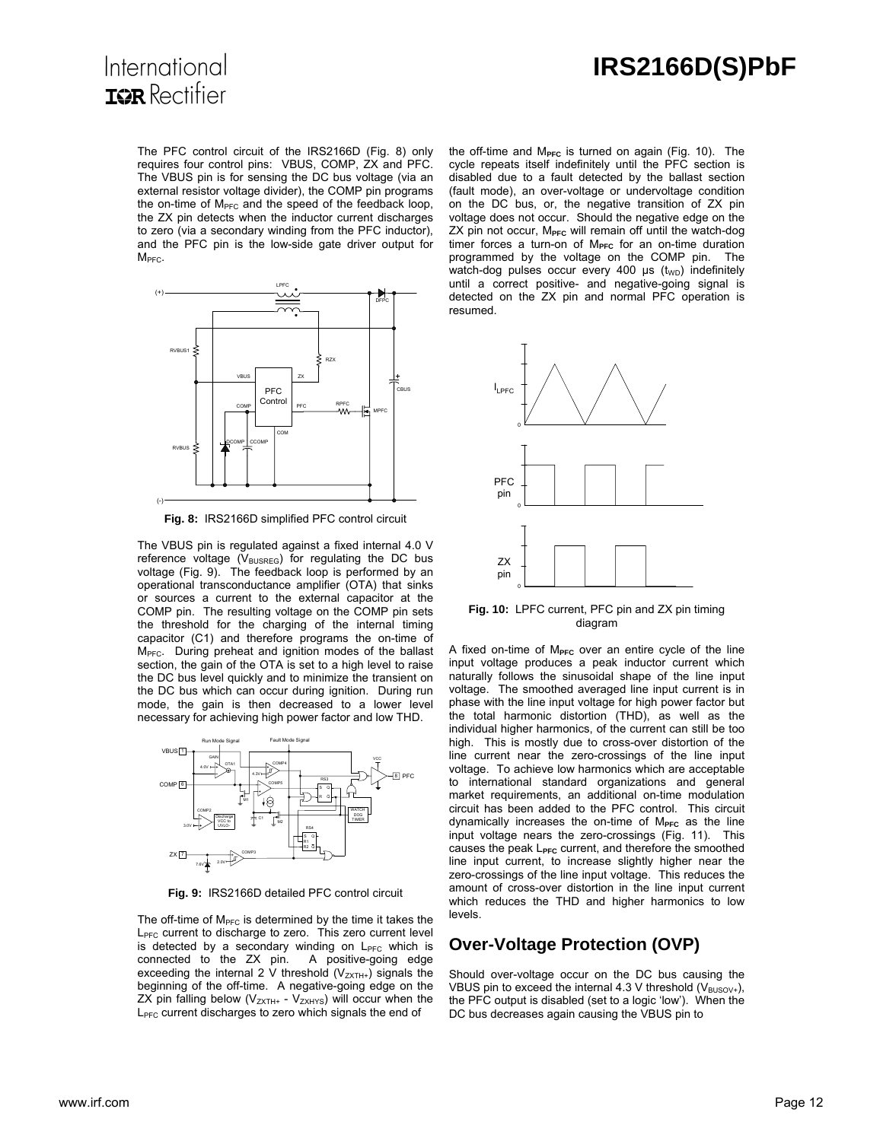

The PFC control circuit of the IRS2166D (Fig. 8) only requires four control pins: VBUS, COMP, ZX and PFC. The VBUS pin is for sensing the DC bus voltage (via an external resistor voltage divider), the COMP pin programs the on-time of M<sub>PFC</sub> and the speed of the feedback loop, the ZX pin detects when the inductor current discharges to zero (via a secondary winding from the PFC inductor), and the PFC pin is the low-side gate driver output for  $M<sub>PFC</sub>$ .



**Fig. 8:** IRS2166D simplified PFC control circuit

The VBUS pin is regulated against a fixed internal 4.0 V reference voltage ( $V_{\text{BUSREG}}$ ) for regulating the DC bus voltage (Fig. 9). The feedback loop is performed by an operational transconductance amplifier (OTA) that sinks or sources a current to the external capacitor at the COMP pin. The resulting voltage on the COMP pin sets the threshold for the charging of the internal timing capacitor (C1) and therefore programs the on-time of M<sub>PFC</sub>. During preheat and ignition modes of the ballast section, the gain of the OTA is set to a high level to raise the DC bus level quickly and to minimize the transient on the DC bus which can occur during ignition. During run mode, the gain is then decreased to a lower level necessary for achieving high power factor and low THD.



**Fig. 9:** IRS2166D detailed PFC control circuit

The off-time of  $M<sub>PFC</sub>$  is determined by the time it takes the L<sub>PFC</sub> current to discharge to zero. This zero current level is detected by a secondary winding on  $L_{\text{PFC}}$  which is connected to the ZX pin. A positive-going edge exceeding the internal 2 V threshold  $(V_{ZXTH+})$  signals the beginning of the off-time. A negative-going edge on the ZX pin falling below ( $V_{ZXTH+}$  -  $V_{ZXHYS}$ ) will occur when the L<sub>PFC</sub> current discharges to zero which signals the end of

the off-time and M<sub>PFC</sub> is turned on again (Fig. 10). The cycle repeats itself indefinitely until the PFC section is disabled due to a fault detected by the ballast section (fault mode), an over-voltage or undervoltage condition on the DC bus, or, the negative transition of ZX pin voltage does not occur. Should the negative edge on the ZX pin not occur, M<sub>PFC</sub> will remain off until the watch-dog timer forces a turn-on of M<sub>PFC</sub> for an on-time duration programmed by the voltage on the COMP pin. The watch-dog pulses occur every 400  $\mu$ s (t<sub>wD</sub>) indefinitely until a correct positive- and negative-going signal is detected on the ZX pin and normal PFC operation is resumed.



**Fig. 10:** LPFC current, PFC pin and ZX pin timing diagram

A fixed on-time of M<sub>PFC</sub> over an entire cycle of the line input voltage produces a peak inductor current which naturally follows the sinusoidal shape of the line input voltage. The smoothed averaged line input current is in phase with the line input voltage for high power factor but the total harmonic distortion (THD), as well as the individual higher harmonics, of the current can still be too high. This is mostly due to cross-over distortion of the line current near the zero-crossings of the line input voltage. To achieve low harmonics which are acceptable to international standard organizations and general market requirements, an additional on-time modulation circuit has been added to the PFC control. This circuit dynamically increases the on-time of M<sub>PFC</sub> as the line input voltage nears the zero-crossings (Fig. 11). This causes the peak L<sub>PFC</sub> current, and therefore the smoothed line input current, to increase slightly higher near the zero-crossings of the line input voltage. This reduces the amount of cross-over distortion in the line input current which reduces the THD and higher harmonics to low levels.

#### **Over-Voltage Protection (OVP)**

Should over-voltage occur on the DC bus causing the VBUS pin to exceed the internal 4.3 V threshold ( $V_{\text{BUSOV+}}$ ), the PFC output is disabled (set to a logic 'low'). When the DC bus decreases again causing the VBUS pin to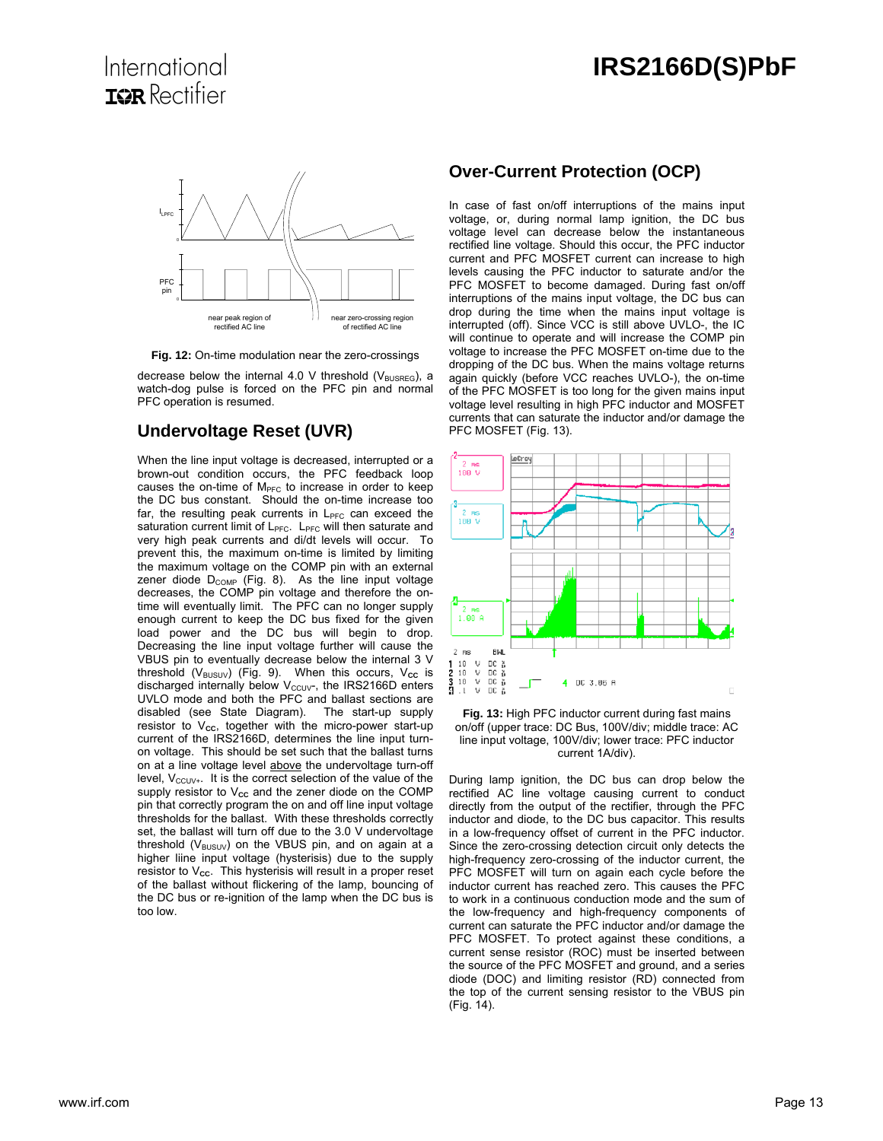

**Fig. 12:** On-time modulation near the zero-crossings

decrease below the internal 4.0 V threshold ( $V_{\text{BUSREG}}$ ), a watch-dog pulse is forced on the PFC pin and normal PFC operation is resumed.

#### **Undervoltage Reset (UVR)**

When the line input voltage is decreased, interrupted or a brown-out condition occurs, the PFC feedback loop causes the on-time of  $M<sub>PEC</sub>$  to increase in order to keep the DC bus constant. Should the on-time increase too far, the resulting peak currents in  $L_{\text{PFC}}$  can exceed the saturation current limit of  $L_{PFC}$ .  $L_{PFC}$  will then saturate and very high peak currents and di/dt levels will occur. To prevent this, the maximum on-time is limited by limiting the maximum voltage on the COMP pin with an external zener diode  $D_{COMP}$  (Fig. 8). As the line input voltage decreases, the COMP pin voltage and therefore the ontime will eventually limit. The PFC can no longer supply enough current to keep the DC bus fixed for the given load power and the DC bus will begin to drop. Decreasing the line input voltage further will cause the VBUS pin to eventually decrease below the internal 3 V threshold (V<sub>BUSUV</sub>) (Fig. 9). When this occurs, V<sub>cc</sub> is discharged internally below  $V_{\text{CCUV}}$ , the IRS2166D enters UVLO mode and both the PFC and ballast sections are disabled (see State Diagram). The start-up supply resistor to V<sub>cc</sub>, together with the micro-power start-up current of the IRS2166D, determines the line input turnon voltage. This should be set such that the ballast turns on at a line voltage level above the undervoltage turn-off level,  $V_{\text{CCUV+}}$ . It is the correct selection of the value of the supply resistor to V<sub>cc</sub> and the zener diode on the COMP pin that correctly program the on and off line input voltage thresholds for the ballast. With these thresholds correctly set, the ballast will turn off due to the 3.0 V undervoltage threshold ( $V_{\text{BUSUV}}$ ) on the VBUS pin, and on again at a higher liine input voltage (hysterisis) due to the supply resistor to V<sub>cc</sub>. This hysterisis will result in a proper reset of the ballast without flickering of the lamp, bouncing of the DC bus or re-ignition of the lamp when the DC bus is too low.

#### **Over-Current Protection (OCP)**

In case of fast on/off interruptions of the mains input voltage, or, during normal lamp ignition, the DC bus voltage level can decrease below the instantaneous rectified line voltage. Should this occur, the PFC inductor current and PFC MOSFET current can increase to high levels causing the PFC inductor to saturate and/or the PFC MOSFET to become damaged. During fast on/off interruptions of the mains input voltage, the DC bus can drop during the time when the mains input voltage is interrupted (off). Since VCC is still above UVLO-, the IC will continue to operate and will increase the COMP pin voltage to increase the PFC MOSFET on-time due to the dropping of the DC bus. When the mains voltage returns again quickly (before VCC reaches UVLO-), the on-time of the PFC MOSFET is too long for the given mains input voltage level resulting in high PFC inductor and MOSFET currents that can saturate the inductor and/or damage the PFC MOSFET (Fig. 13).





During lamp ignition, the DC bus can drop below the rectified AC line voltage causing current to conduct directly from the output of the rectifier, through the PFC inductor and diode, to the DC bus capacitor. This results in a low-frequency offset of current in the PFC inductor. Since the zero-crossing detection circuit only detects the high-frequency zero-crossing of the inductor current, the PFC MOSFET will turn on again each cycle before the inductor current has reached zero. This causes the PFC to work in a continuous conduction mode and the sum of the low-frequency and high-frequency components of current can saturate the PFC inductor and/or damage the PFC MOSFET. To protect against these conditions, a current sense resistor (ROC) must be inserted between the source of the PFC MOSFET and ground, and a series diode (DOC) and limiting resistor (RD) connected from the top of the current sensing resistor to the VBUS pin (Fig. 14).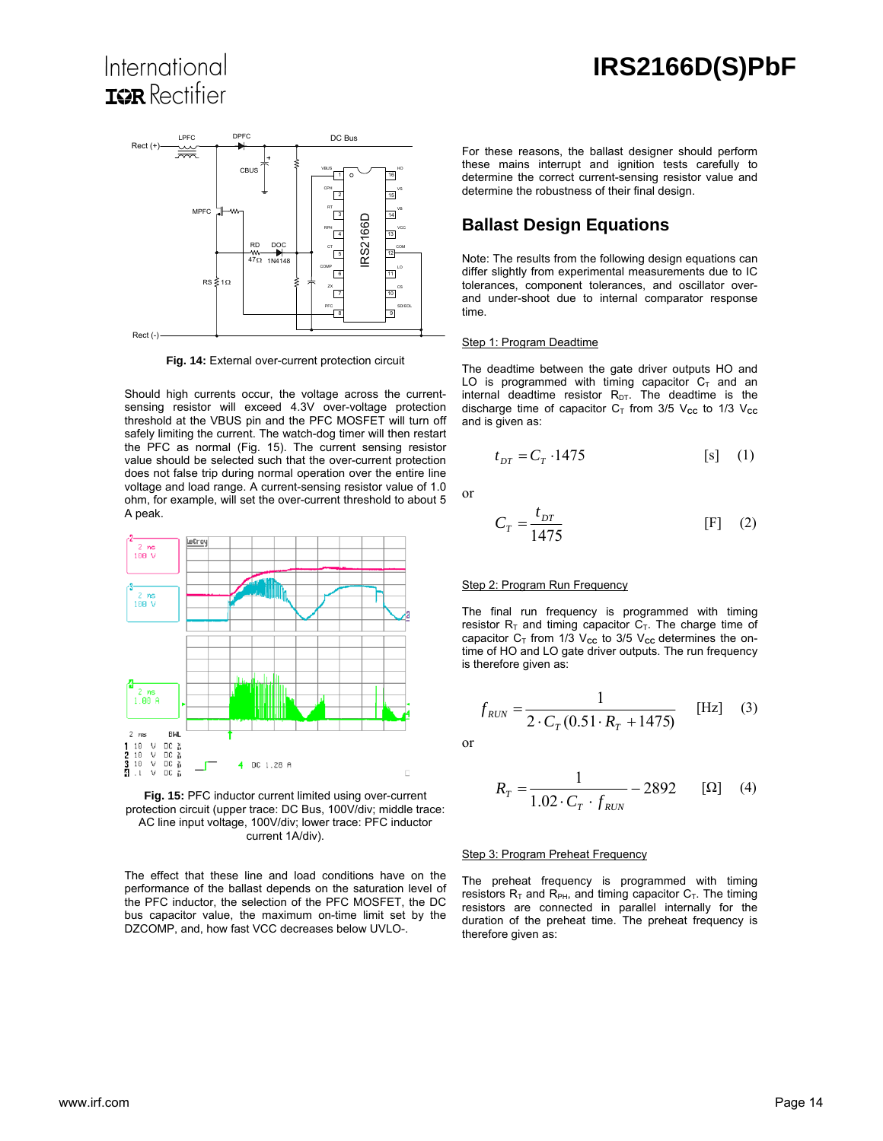## International **IOR** Rectifier



**Fig. 14:** External over-current protection circuit

Should high currents occur, the voltage across the currentsensing resistor will exceed 4.3V over-voltage protection threshold at the VBUS pin and the PFC MOSFET will turn off safely limiting the current. The watch-dog timer will then restart the PFC as normal (Fig. 15). The current sensing resistor value should be selected such that the over-current protection does not false trip during normal operation over the entire line voltage and load range. A current-sensing resistor value of 1.0 ohm, for example, will set the over-current threshold to about 5 A peak.



**Fig. 15:** PFC inductor current limited using over-current protection circuit (upper trace: DC Bus, 100V/div; middle trace: AC line input voltage, 100V/div; lower trace: PFC inductor current 1A/div).

The effect that these line and load conditions have on the performance of the ballast depends on the saturation level of the PFC inductor, the selection of the PFC MOSFET, the DC bus capacitor value, the maximum on-time limit set by the DZCOMP, and, how fast VCC decreases below UVLO-.

For these reasons, the ballast designer should perform these mains interrupt and ignition tests carefully to determine the correct current-sensing resistor value and determine the robustness of their final design.

#### **Ballast Design Equations**

Note: The results from the following design equations can differ slightly from experimental measurements due to IC tolerances, component tolerances, and oscillator overand under-shoot due to internal comparator response time.

#### Step 1: Program Deadtime

The deadtime between the gate driver outputs HO and LO is programmed with timing capacitor  $C_T$  and an internal deadtime resistor  $R_{DT}$ . The deadtime is the discharge time of capacitor  $C_T$  from 3/5  $V_{cc}$  to 1/3  $V_{cc}$ and is given as:

$$
t_{DT} = C_T \cdot 1475 \tag{s} \tag{1}
$$

or

$$
C_T = \frac{t_{DT}}{1475} \tag{F} \tag{2}
$$

#### Step 2: Program Run Frequency

The final run frequency is programmed with timing resistor  $R_T$  and timing capacitor  $C_T$ . The charge time of capacitor  $C_T$  from 1/3  $V_{cc}$  to 3/5  $V_{cc}$  determines the ontime of HO and LO gate driver outputs. The run frequency is therefore given as:

$$
f_{RUN} = \frac{1}{2 \cdot C_T (0.51 \cdot R_T + 1475)} \quad \text{[Hz]} \quad (3)
$$

or

$$
R_T = \frac{1}{1.02 \cdot C_T \cdot f_{RUN}} - 2892 \qquad [\Omega] \quad (4)
$$

#### **Step 3: Program Preheat Frequency**

The preheat frequency is programmed with timing resistors  $R_T$  and  $R_{PH}$ , and timing capacitor  $C_T$ . The timing resistors are connected in parallel internally for the duration of the preheat time. The preheat frequency is therefore given as: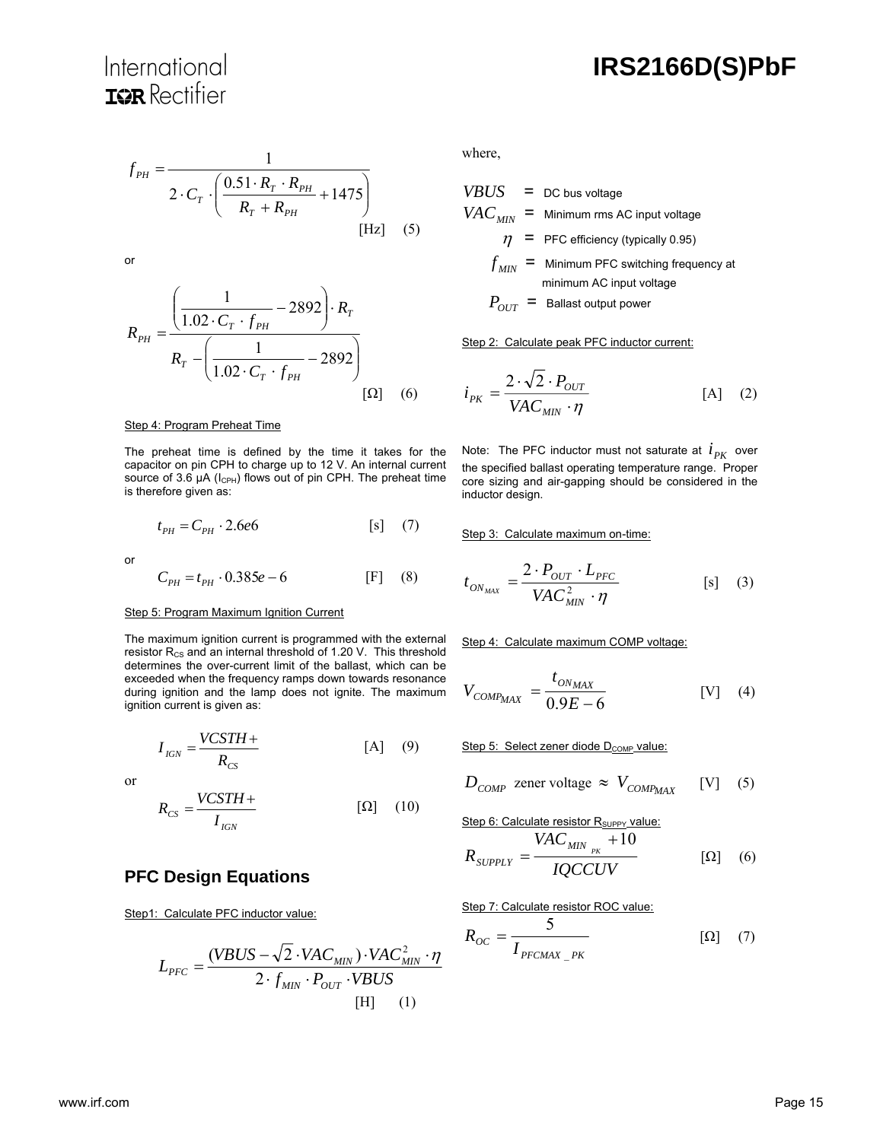$$
f_{PH} = \frac{1}{2 \cdot C_T \cdot \left(\frac{0.51 \cdot R_T \cdot R_{PH}}{R_T + R_{PH}} + 1475\right)}
$$
\n[Hz] (5)

or

$$
R_{PH} = \frac{\left(\frac{1}{1.02 \cdot C_T \cdot f_{PH}} - 2892\right) \cdot R_T}{R_T - \left(\frac{1}{1.02 \cdot C_T \cdot f_{PH}} - 2892\right)}
$$
\n
$$
\left[\Omega\right] \quad (6)
$$

where,

| $VBUS$      | = DC bus voltage                                              |
|-------------|---------------------------------------------------------------|
| $VAC_{MIN}$ | = Minimum rms AC input voltage                                |
| $\eta$      | = PFC efficiency (typically 0.95)                             |
| $f_{MIN}$   | = Minimum PFC switching frequency at minimum AC input voltage |
| $P_{OUT}$   | = Ballast output power                                        |

Step 2:Calculate peak PFC inductor current:

$$
i_{PK} = \frac{2 \cdot \sqrt{2} \cdot P_{OUT}}{VAC_{MIN} \cdot \eta}
$$
 [A] (2)

#### Step 4: Program Preheat Time

The preheat time is defined by the time it takes for the capacitor on pin CPH to charge up to 12 V. An internal current source of 3.6  $\mu$ A ( $I_{\text{CPH}}$ ) flows out of pin CPH. The preheat time is therefore given as:

$$
t_{PH} = C_{PH} \cdot 2.6e6 \qquad \qquad [s] \quad (7)
$$

or

$$
C_{PH} = t_{PH} \cdot 0.385e - 6
$$
 [F] (8)

#### Step 5: Program Maximum Ignition Current

The maximum ignition current is programmed with the external resistor R<sub>cs</sub> and an internal threshold of 1.20 V. This threshold determines the over-current limit of the ballast, which can be exceeded when the frequency ramps down towards resonance during ignition and the lamp does not ignite. The maximum ignition current is given as:

$$
I_{IGN} = \frac{VCSTH +}{R_{CS}} \tag{9}
$$

or

$$
R_{CS} = \frac{VCSTH +}{I_{IGN}} \tag{10}
$$

#### **PFC Design Equations**

Step1: Calculate PFC inductor value:

$$
L_{PFC} = \frac{(VBUS - \sqrt{2} \cdot VAC_{MIN}) \cdot VAC_{MIN}^2 \cdot \eta}{2 \cdot f_{MIN} \cdot P_{OUT} \cdot VBUS}
$$
[H] (1)

Note: The PFC inductor must not saturate at  $i_{PK}$  over the specified ballast operating temperature range. Proper core sizing and air-gapping should be considered in the inductor design.

Step 3: Calculate maximum on-time:

$$
t_{ON_{MAX}} = \frac{2 \cdot P_{OUT} \cdot L_{PFC}}{VAC_{MIN}^2 \cdot \eta}
$$
 [s] (3)

Step 4: Calculate maximum COMP voltage:

$$
V_{COMP_{MAX}} = \frac{t_{ON_{MAX}}}{0.9E - 6}
$$
 [V] (4)

Step 5: Select zener diode D<sub>COMP</sub> value:

$$
D_{COMP} \text{ zener voltage} \approx V_{COMP_{MAX}} \quad [V] \quad (5)
$$

Step 6: Calculate resistor R<sub>SUPPY</sub> value:  $VAC$ 

$$
R_{\text{SUPPLY}} = \frac{VAC_{\text{MIN}_{\text{PK}}} + 10}{IQCCUV} \tag{6}
$$

Step 7: Calculate resistor ROC value:

$$
R_{OC} = \frac{5}{I_{PFCMAX\_PK}} \tag{7}
$$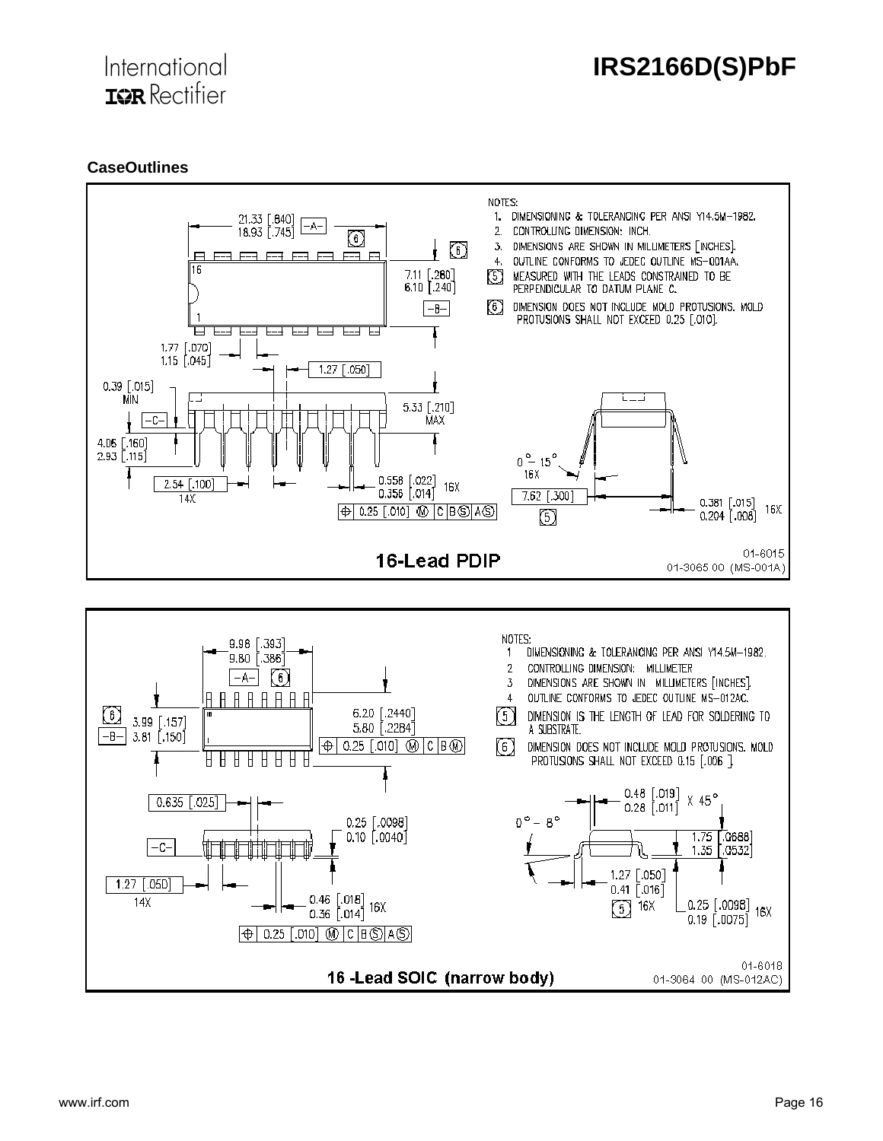

#### **CaseOutlines**

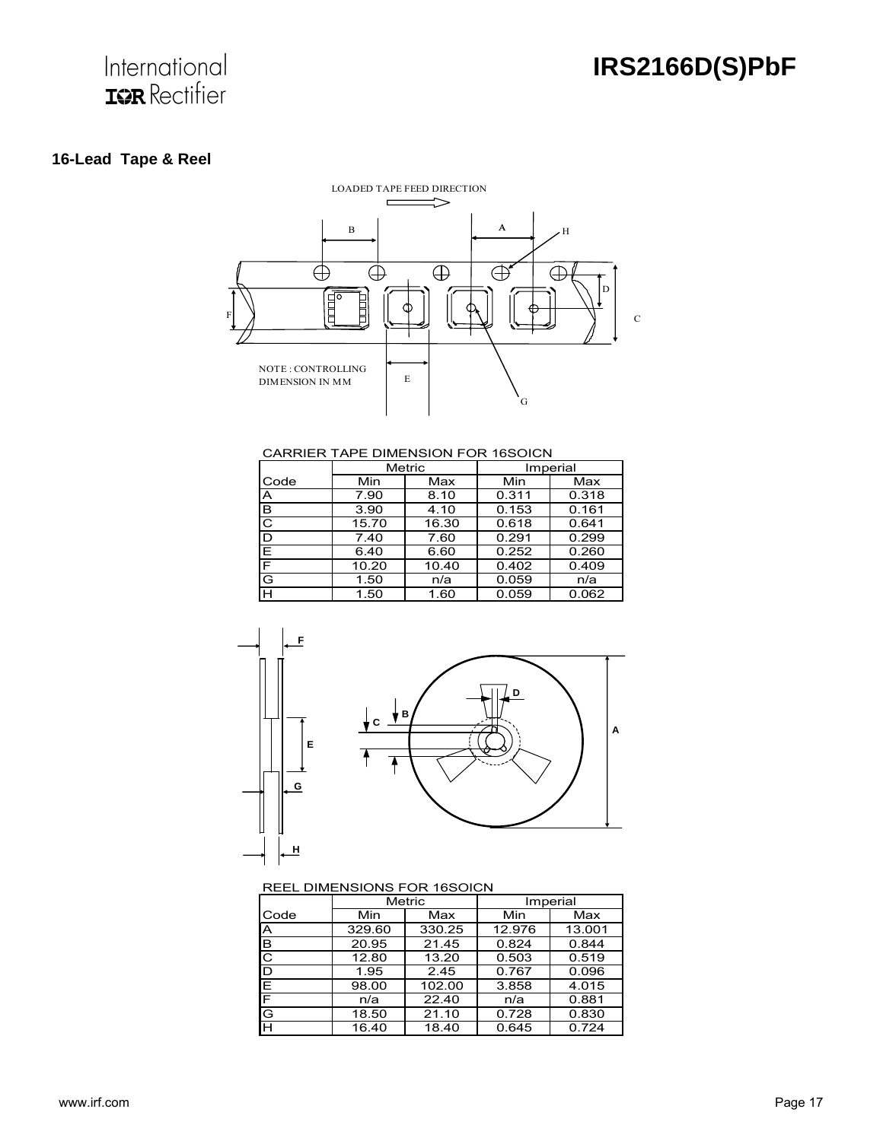## International **IGR** Rectifier

## **16-Lead Tape & Reel**



CARRIER TAPE DIMENSION FOR 16SOICN

|                       | Metric |       | Imperial |       |  |
|-----------------------|--------|-------|----------|-------|--|
| Code                  | Min    | Max   | Min      | Max   |  |
| A                     | 7.90   | 8.10  | 0.311    | 0.318 |  |
| в                     | 3.90   | 4.10  | 0.153    | 0.161 |  |
| $\overline{\text{c}}$ | 15.70  | 16.30 | 0.618    | 0.641 |  |
| D                     | 7.40   | 7.60  | 0.291    | 0.299 |  |
| E                     | 6.40   | 6.60  | 0.252    | 0.260 |  |
| E                     | 10.20  | 10.40 | 0.402    | 0.409 |  |
| G                     | 1.50   | n/a   | 0.059    | n/a   |  |
| н                     | 1.50   | 1.60  | 0.059    | 0.062 |  |



#### REEL DIMENSIONS FOR 16SOICN

|      | Metric |        | Imperial |        |  |
|------|--------|--------|----------|--------|--|
| Code | Min    | Max    | Min      | Max    |  |
| ΙA   | 329.60 | 330.25 | 12.976   | 13.001 |  |
| B    | 20.95  | 21.45  | 0.824    | 0.844  |  |
| C    | 12.80  | 13.20  | 0.503    | 0.519  |  |
| D    | 1.95   | 2.45   | 0.767    | 0.096  |  |
| E    | 98.00  | 102.00 | 3.858    | 4.015  |  |
| ΙF   | n/a    | 22.40  | n/a      | 0.881  |  |
| G    | 18.50  | 21.10  | 0.728    | 0.830  |  |
| Iн   | 16.40  | 18.40  | 0.645    | 0.724  |  |